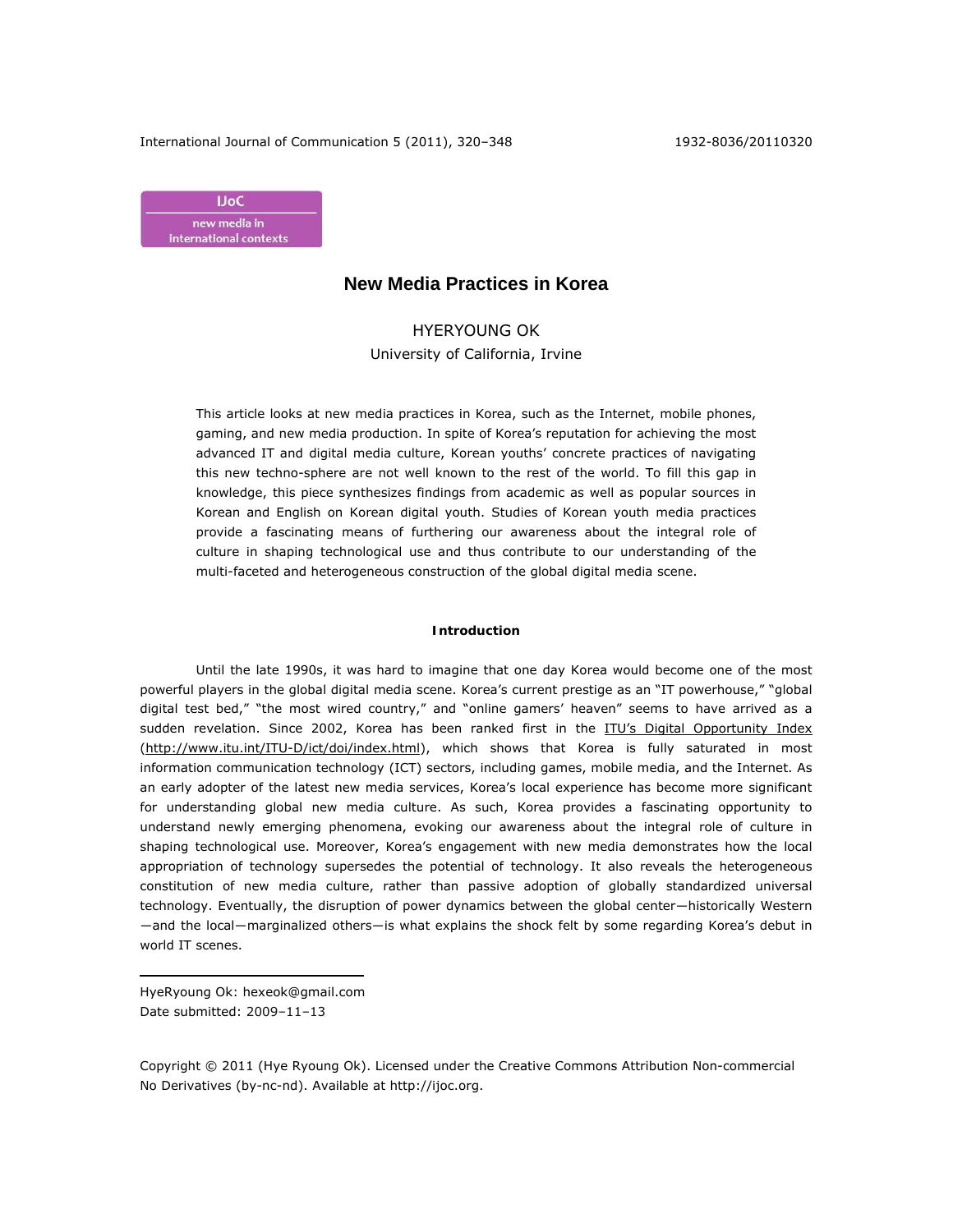

# **New Media Practices in Korea**

HYERYOUNG OK University of California, Irvine

This article looks at new media practices in Korea, such as the Internet, mobile phones, gaming, and new media production. In spite of Korea's reputation for achieving the most advanced IT and digital media culture, Korean youths' concrete practices of navigating this new techno-sphere are not well known to the rest of the world. To fill this gap in knowledge, this piece synthesizes findings from academic as well as popular sources in Korean and English on Korean digital youth. Studies of Korean youth media practices provide a fascinating means of furthering our awareness about the integral role of culture in shaping technological use and thus contribute to our understanding of the multi-faceted and heterogeneous construction of the global digital media scene.

## **Introduction**

Until the late 1990s, it was hard to imagine that one day Korea would become one of the most powerful players in the global digital media scene. Korea's current prestige as an "IT powerhouse," "global digital test bed," "the most wired country," and "online gamers' heaven" seems to have arrived as a sudden revelation. Since 2002, Korea has been ranked first in the ITU's Digital Opportunity Index (http://www.itu.int/ITU-D/ict/doi/index.html), which shows that Korea is fully saturated in most information communication technology (ICT) sectors, including games, mobile media, and the Internet. As an early adopter of the latest new media services, Korea's local experience has become more significant for understanding global new media culture. As such, Korea provides a fascinating opportunity to understand newly emerging phenomena, evoking our awareness about the integral role of culture in shaping technological use. Moreover, Korea's engagement with new media demonstrates how the local appropriation of technology supersedes the potential of technology. It also reveals the heterogeneous constitution of new media culture, rather than passive adoption of globally standardized universal technology. Eventually, the disruption of power dynamics between the global center―historically Western ―and the local―marginalized others―is what explains the shock felt by some regarding Korea's debut in world IT scenes.

HyeRyoung Ok: hexeok@gmail.com Date submitted: 2009–11–13

 $\overline{a}$ 

Copyright © 2011 (Hye Ryoung Ok). Licensed under the Creative Commons Attribution Non-commercial No Derivatives (by-nc-nd). Available at http://ijoc.org.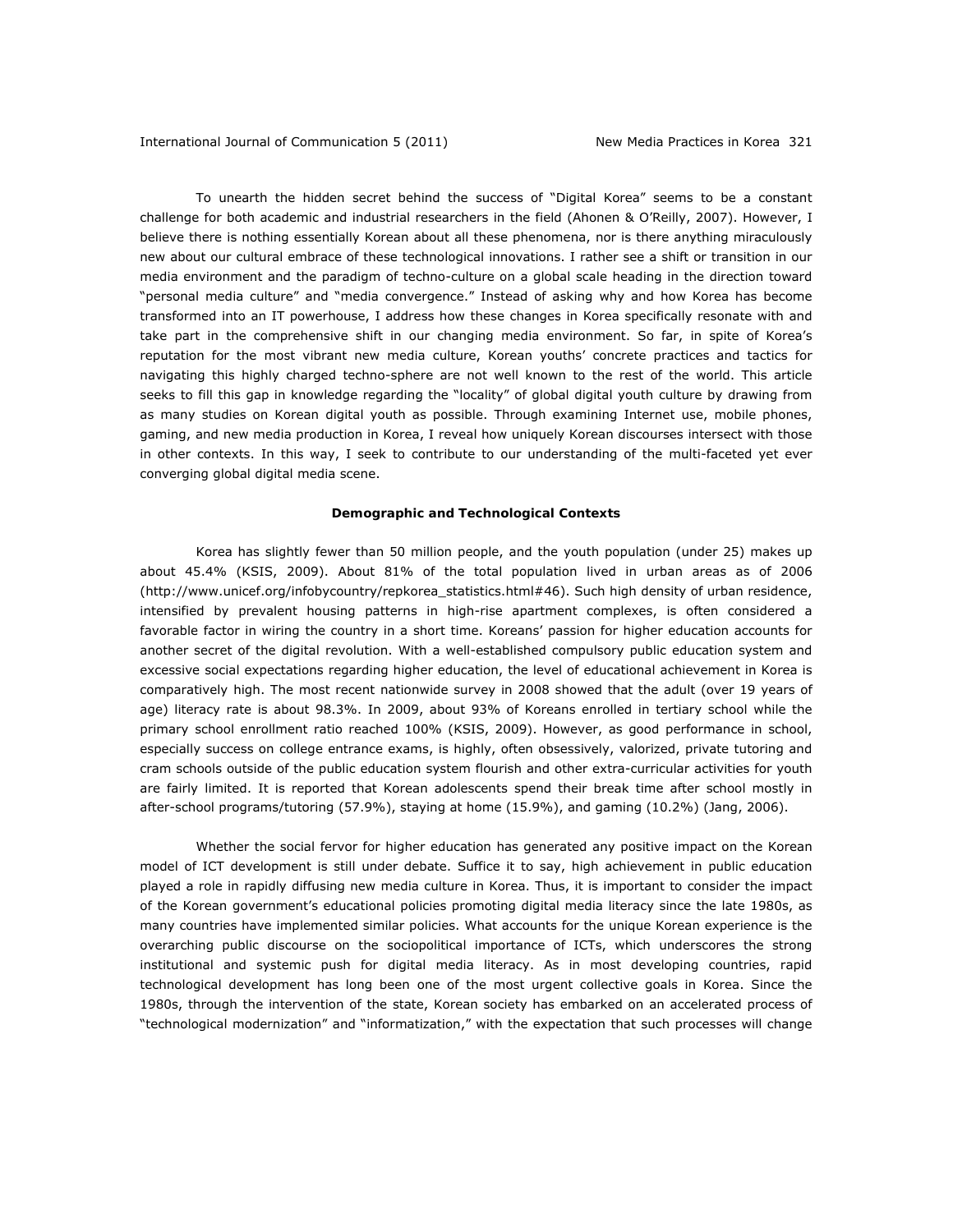To unearth the hidden secret behind the success of "Digital Korea" seems to be a constant challenge for both academic and industrial researchers in the field (Ahonen & O'Reilly, 2007). However, I believe there is nothing essentially Korean about all these phenomena, nor is there anything miraculously new about our cultural embrace of these technological innovations. I rather see a shift or transition in our media environment and the paradigm of techno-culture on a global scale heading in the direction toward "personal media culture" and "media convergence." Instead of asking why and how Korea has become transformed into an IT powerhouse, I address how these changes in Korea specifically resonate with and take part in the comprehensive shift in our changing media environment. So far, in spite of Korea's reputation for the most vibrant new media culture, Korean youths' concrete practices and tactics for navigating this highly charged techno-sphere are not well known to the rest of the world. This article seeks to fill this gap in knowledge regarding the "locality" of global digital youth culture by drawing from as many studies on Korean digital youth as possible. Through examining Internet use, mobile phones, gaming, and new media production in Korea, I reveal how uniquely Korean discourses intersect with those in other contexts. In this way, I seek to contribute to our understanding of the multi-faceted yet ever converging global digital media scene.

### **Demographic and Technological Contexts**

Korea has slightly fewer than 50 million people, and the youth population (under 25) makes up about 45.4% (KSIS, 2009). About 81% of the total population lived in urban areas as of 2006 (http://www.unicef.org/infobycountry/repkorea\_statistics.html#46). Such high density of urban residence, intensified by prevalent housing patterns in high-rise apartment complexes, is often considered a favorable factor in wiring the country in a short time. Koreans' passion for higher education accounts for another secret of the digital revolution. With a well-established compulsory public education system and excessive social expectations regarding higher education, the level of educational achievement in Korea is comparatively high. The most recent nationwide survey in 2008 showed that the adult (over 19 years of age) literacy rate is about 98.3%. In 2009, about 93% of Koreans enrolled in tertiary school while the primary school enrollment ratio reached 100% (KSIS, 2009). However, as good performance in school, especially success on college entrance exams, is highly, often obsessively, valorized, private tutoring and cram schools outside of the public education system flourish and other extra-curricular activities for youth are fairly limited. It is reported that Korean adolescents spend their break time after school mostly in after-school programs/tutoring (57.9%), staying at home (15.9%), and gaming (10.2%) (Jang, 2006).

Whether the social fervor for higher education has generated any positive impact on the Korean model of ICT development is still under debate. Suffice it to say, high achievement in public education played a role in rapidly diffusing new media culture in Korea. Thus, it is important to consider the impact of the Korean government's educational policies promoting digital media literacy since the late 1980s, as many countries have implemented similar policies. What accounts for the unique Korean experience is the overarching public discourse on the sociopolitical importance of ICTs, which underscores the strong institutional and systemic push for digital media literacy. As in most developing countries, rapid technological development has long been one of the most urgent collective goals in Korea. Since the 1980s, through the intervention of the state, Korean society has embarked on an accelerated process of "technological modernization" and "informatization," with the expectation that such processes will change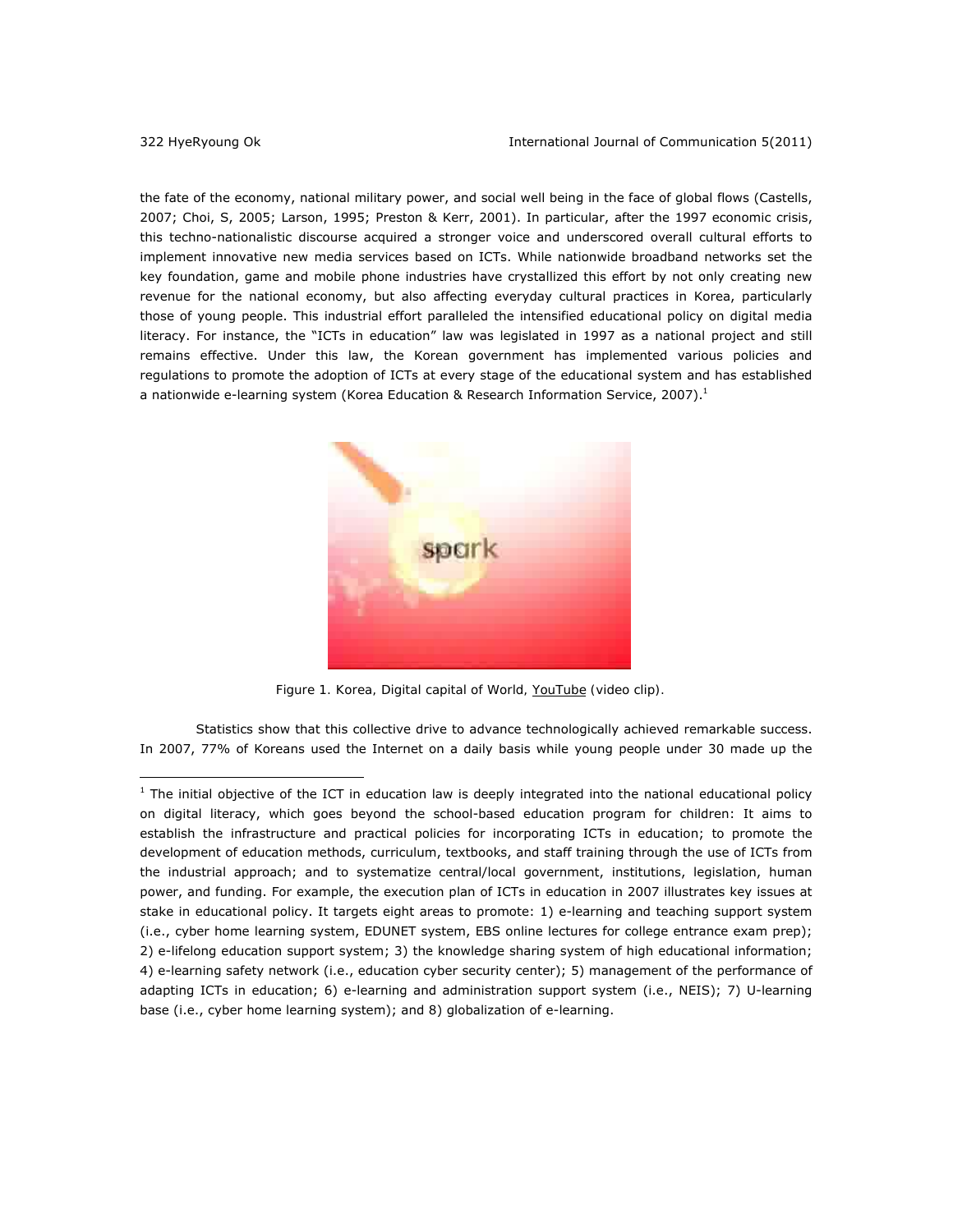the fate of the economy, national military power, and social well being in the face of global flows (Castells, 2007; Choi, S, 2005; Larson, 1995; Preston & Kerr, 2001). In particular, after the 1997 economic crisis, this techno-nationalistic discourse acquired a stronger voice and underscored overall cultural efforts to implement innovative new media services based on ICTs. While nationwide broadband networks set the key foundation, game and mobile phone industries have crystallized this effort by not only creating new revenue for the national economy, but also affecting everyday cultural practices in Korea, particularly those of young people. This industrial effort paralleled the intensified educational policy on digital media literacy. For instance, the "ICTs in education" law was legislated in 1997 as a national project and still remains effective. Under this law, the Korean government has implemented various policies and regulations to promote the adoption of ICTs at every stage of the educational system and has established a nationwide e-learning system (Korea Education & Research Information Service, 2007).<sup>1</sup>



 *[Figure 1. Korea, Digital capital of World, YouTube \(video clip\).](http://www.youtube.com/watch?v=bTfZemMDk7A)* 

Statistics show that this collective drive to advance technologically achieved remarkable success. In 2007, 77% of Koreans used the Internet on a daily basis while young people under 30 made up the

 $<sup>1</sup>$  The initial objective of the ICT in education law is deeply integrated into the national educational policy</sup> on digital literacy, which goes beyond the school-based education program for children: It aims to establish the infrastructure and practical policies for incorporating ICTs in education; to promote the development of education methods, curriculum, textbooks, and staff training through the use of ICTs from the industrial approach; and to systematize central/local government, institutions, legislation, human power, and funding. For example, the execution plan of ICTs in education in 2007 illustrates key issues at stake in educational policy. It targets eight areas to promote: 1) e-learning and teaching support system (i.e., cyber home learning system, EDUNET system, EBS online lectures for college entrance exam prep); 2) e-lifelong education support system; 3) the knowledge sharing system of high educational information; 4) e-learning safety network (i.e., education cyber security center); 5) management of the performance of adapting ICTs in education; 6) e-learning and administration support system (i.e., NEIS); 7) U-learning base (i.e., cyber home learning system); and 8) globalization of e-learning.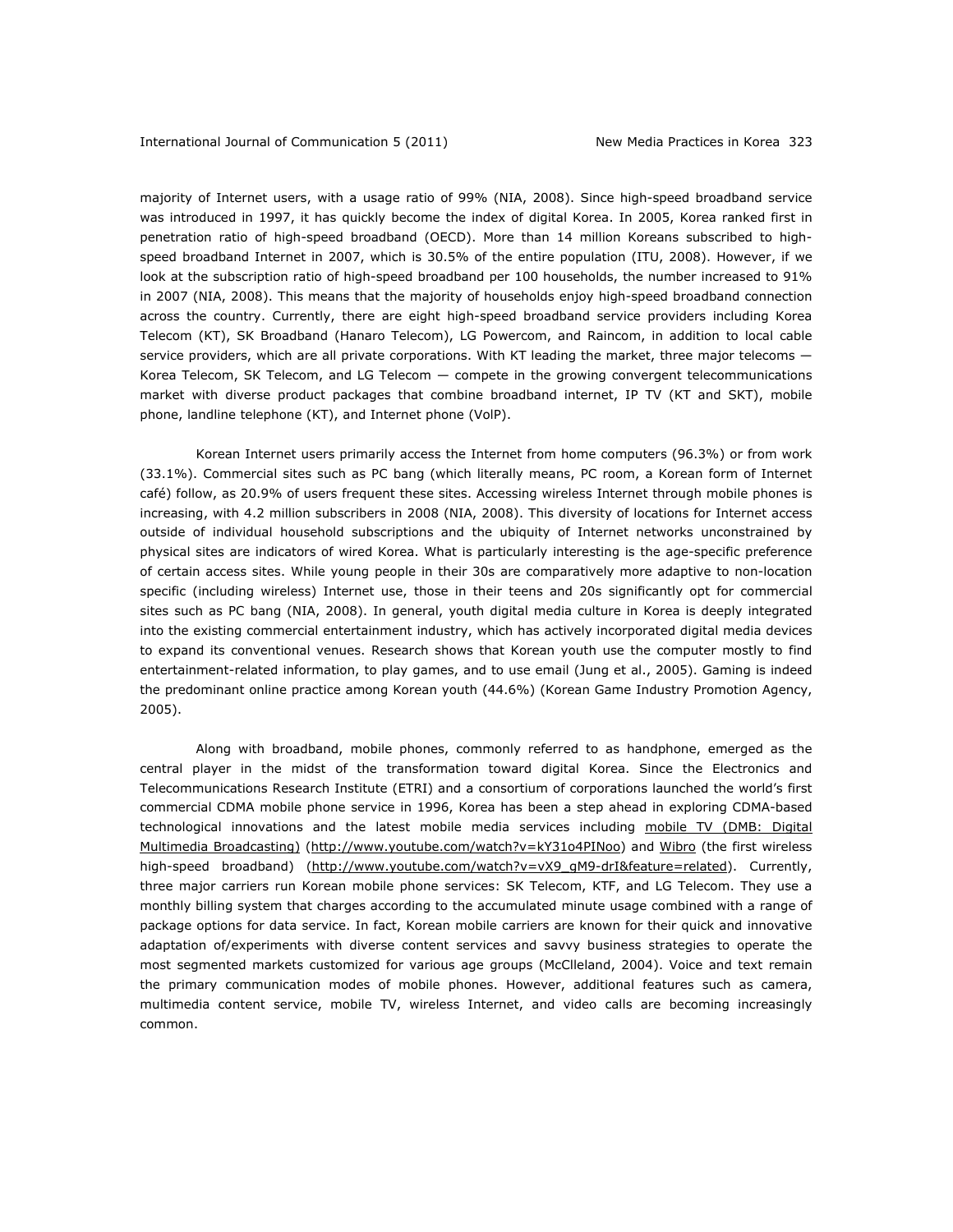majority of Internet users, with a usage ratio of 99% (NIA, 2008). Since high-speed broadband service was introduced in 1997, it has quickly become the index of digital Korea. In 2005, Korea ranked first in penetration ratio of high-speed broadband (OECD). More than 14 million Koreans subscribed to highspeed broadband Internet in 2007, which is 30.5% of the entire population (ITU, 2008). However, if we look at the subscription ratio of high-speed broadband per 100 households, the number increased to 91% in 2007 (NIA, 2008). This means that the majority of households enjoy high-speed broadband connection across the country. Currently, there are eight high-speed broadband service providers including Korea Telecom (KT), SK Broadband (Hanaro Telecom), LG Powercom, and Raincom, in addition to local cable service providers, which are all private corporations. With KT leading the market, three major telecoms -Korea Telecom, SK Telecom, and LG Telecom — compete in the growing convergent telecommunications market with diverse product packages that combine broadband internet, IP TV (KT and SKT), mobile phone, landline telephone (KT), and Internet phone (VolP).

Korean Internet users primarily access the Internet from home computers (96.3%) or from work (33.1%). Commercial sites such as *PC bang* (which literally means, PC room, a Korean form of Internet café) follow, as 20.9% of users frequent these sites. Accessing wireless Internet through mobile phones is increasing, with 4.2 million subscribers in 2008 (NIA, 2008). This diversity of locations for Internet access outside of individual household subscriptions and the ubiquity of Internet networks unconstrained by physical sites are indicators of wired Korea. What is particularly interesting is the age-specific preference of certain access sites. While young people in their 30s are comparatively more adaptive to non-location specific (including wireless) Internet use, those in their teens and 20s significantly opt for commercial sites such as *PC bang* (NIA, 2008). In general, youth digital media culture in Korea is deeply integrated into the existing commercial entertainment industry, which has actively incorporated digital media devices to expand its conventional venues. Research shows that Korean youth use the computer mostly to find entertainment-related information, to play games, and to use email (Jung et al., 2005). Gaming is indeed the predominant online practice among Korean youth (44.6%) (Korean Game Industry Promotion Agency, 2005).

Along with broadband, mobile phones, commonly referred to as *handphone*, emerged as the central player in the midst of the transformation toward digital Korea. Since the Electronics and Telecommunications Research Institute (ETRI) and a consortium of corporations launched the world's first commercial CDMA mobile phone service in 1996, Korea has been a step ahead in exploring CDMA-based technological innovations and the latest mobile media services including mobile TV (DMB: Digital Multimedia Broadcasting) (http://www.youtube.com/watch?v=kY31o4PINoo) an[d Wibro](http://www.youtube.com/watch?v=vX9_gM9-drI&feature=related) (the first wireless high-speed broadband) (http://www.youtube.com/watch?v=vX9\_gM9-drI&feature=related). Currently, three major carriers run Korean mobile phone services: SK Telecom, KTF, and LG Telecom. They use a monthly billing system that charges according to the accumulated minute usage combined with a range of package options for data service. In fact, Korean mobile carriers are known for their quick and innovative adaptation of/experiments with diverse content services and savvy business strategies to operate the most segmented markets customized for various age groups (McClleland, 2004). Voice and text remain the primary communication modes of mobile phones. However, additional features such as camera, multimedia content service, mobile TV, wireless Internet, and video calls are becoming increasingly common.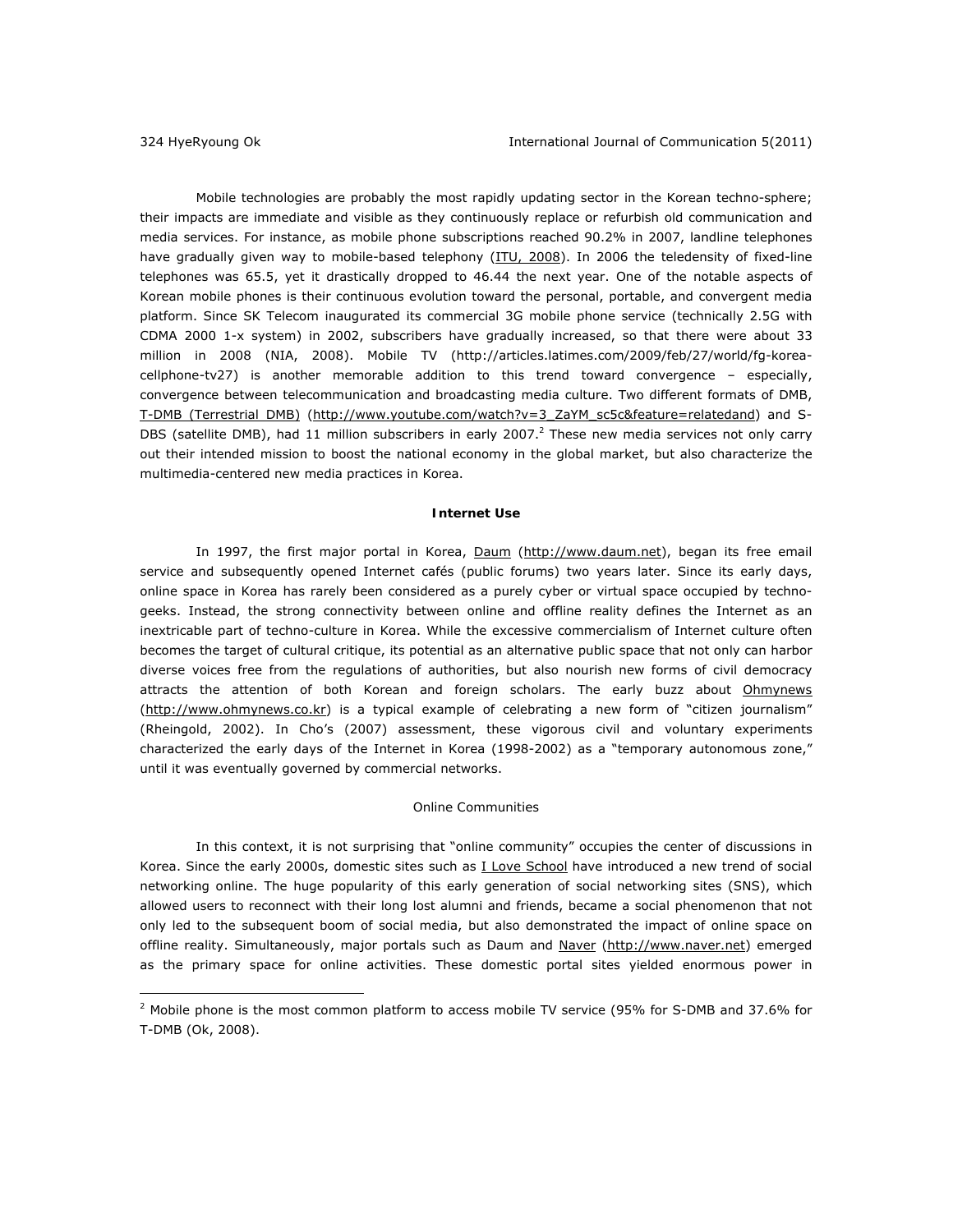Mobile technologies are probably the most rapidly updating sector in the Korean techno-sphere; their impacts are immediate and visible as they continuously replace or refurbish old communication and media services. For instance, as mobile phone subscriptions reached 90.2% in 2007, landline telephones have gradually given way to mobile-based telephony ([ITU, 2008\).](http://www.itu.int/ITU-D/icteye/DisplayCountry.aspx?code=KOR) In 2006 the teledensity of fixed-line telephones was 65.5, yet it drastically dropped to 46.44 the next year. One of the notable aspects of Korean mobile phones is their continuous evolution toward the personal, portable, and convergent media platform. Since SK Telecom inaugurated its commercial 3G mobile phone service (technically 2.5G with CDMA 2000 1-x system) in 2002, subscribers have gradually increased, so that there were about 33 million in 2008 (NIA, 2008). Mobile TV (http://articles.latimes.com/2009/feb/27/world/fg-koreacellphone-tv27) is another memorable addition to this trend toward convergence – especially, convergence between telecommunication and broadcasting media culture. Two different formats of DMB, T-DMB (Terrestrial DMB) (http://www.youtube.com/watch?v=3\_ZaYM\_sc5c&feature=relatedand) and S-DBS (satellite DMB), had 11 million subscribers in early 2007.<sup>2</sup> These new media services not only carry out their intended mission to boost the national economy in the global market, but also characterize the multimedia-centered new media practices in Korea.

### **Internet Use**

In 1997, the first major portal in Korea, Daum (http://www.daum.net), began its free email service and subsequently opened Internet cafés (public forums) two years later. Since its early days, online space in Korea has rarely been considered as a purely cyber or virtual space occupied by technogeeks. Instead, the strong connectivity between online and offline reality defines the Internet as an inextricable part of techno-culture in Korea. While the excessive commercialism of Internet culture often becomes the target of cultural critique, its potential as an alternative public space that not only can harbor diverse voices free from the regulations of authorities, but also nourish new forms of civil democracy attracts the attention of both Korean and foreign scholars. The early buzz about *Ohmynews* (http://www.ohmynews.co.kr) is a typical example of celebrating a new form of "citizen journalism" (Rheingold, 2002). In Cho's (2007) assessment, these vigorous civil and voluntary experiments characterized the early days of the Internet in Korea (1998-2002) as a "temporary autonomous zone," until it was eventually governed by commercial networks.

#### *Online Communities*

In this context, it is not surprising that "online community" occupies the center of discussions in Korea. Since the early 2000s, domestic sites such a[s I Love School](http://www.iloveschool.co.kr/) have introduced a new trend of social networking online. The huge popularity of this early generation of social networking sites (SNS), which allowed users to reconnect with their long lost alumni and friends, became a social phenomenon that not only led to the subsequent boom of social media, but also demonstrated the impact of online space on offline reality. Simultaneously, major portals such as Daum and Naver (http://www.naver.net) emerged as the primary space for online activities. These domestic portal sites yielded enormous power in

<sup>&</sup>lt;sup>2</sup> Mobile phone is the most common platform to access mobile TV service (95% for S-DMB and 37.6% for T-DMB (Ok, 2008).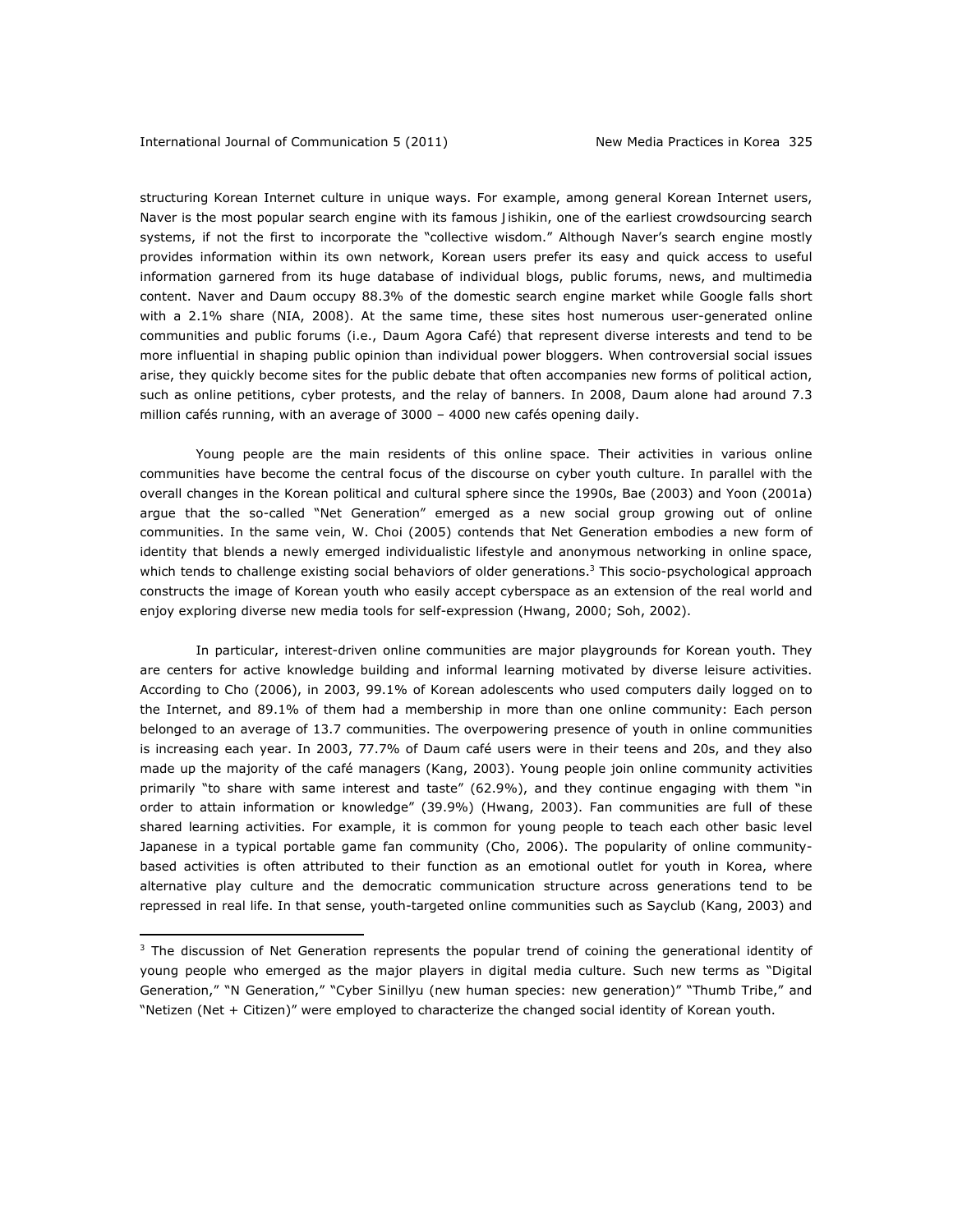structuring Korean Internet culture in unique ways. For example, among general Korean Internet users, Naver is the most popular search engine with its famous *Jishikin*, one of the earliest crowdsourcing search systems, if not the first to incorporate the "collective wisdom." Although Naver's search engine mostly provides information within its own network, Korean users prefer its easy and quick access to useful information garnered from its huge database of individual blogs, public forums, news, and multimedia content. Naver and Daum occupy 88.3% of the domestic search engine market while Google falls short with a 2.1% share (NIA, 2008). At the same time, these sites host numerous user-generated online communities and public forums (i.e., Daum Agora Café) that represent diverse interests and tend to be more influential in shaping public opinion than individual power bloggers. When controversial social issues arise, they quickly become sites for the public debate that often accompanies new forms of political action, such as online petitions, cyber protests, and the relay of banners. In 2008, Daum alone had around 7.3 million cafés running, with an average of 3000 – 4000 new cafés opening daily.

Young people are the main residents of this online space. Their activities in various online communities have become the central focus of the discourse on cyber youth culture. In parallel with the overall changes in the Korean political and cultural sphere since the 1990s, Bae (2003) and Yoon (2001a) argue that the so-called "Net Generation" emerged as a new social group growing out of online communities. In the same vein, W. Choi (2005) contends that Net Generation embodies a new form of identity that blends a newly emerged individualistic lifestyle and anonymous networking in online space, which tends to challenge existing social behaviors of older generations.<sup>3</sup> This socio-psychological approach constructs the image of Korean youth who easily accept cyberspace as an extension of the real world and enjoy exploring diverse new media tools for self-expression (Hwang, 2000; Soh, 2002).

In particular, interest-driven online communities are major playgrounds for Korean youth. They are centers for active knowledge building and informal learning motivated by diverse leisure activities. According to Cho (2006), in 2003, 99.1% of Korean adolescents who used computers daily logged on to the Internet, and 89.1% of them had a membership in more than one online community: Each person belonged to an average of 13.7 communities. The overpowering presence of youth in online communities is increasing each year. In 2003, 77.7% of Daum café users were in their teens and 20s, and they also made up the majority of the café managers (Kang, 2003). Young people join online community activities primarily "to share with same interest and taste" (62.9%), and they continue engaging with them "in order to attain information or knowledge" (39.9%) (Hwang, 2003). Fan communities are full of these shared learning activities. For example, it is common for young people to teach each other basic level Japanese in a typical portable game fan community (Cho, 2006). The popularity of online communitybased activities is often attributed to their function as an emotional outlet for youth in Korea, where alternative play culture and the democratic communication structure across generations tend to be repressed in real life. In that sense, youth-targeted online communities such as Sayclub (Kang, 2003) and

<sup>&</sup>lt;sup>3</sup> The discussion of Net Generation represents the popular trend of coining the generational identity of young people who emerged as the major players in digital media culture. Such new terms as "Digital Generation," "N Generation," "Cyber *Sinillyu* (new human species: new generation)" "Thumb Tribe," and "Netizen (Net + Citizen)" were employed to characterize the changed social identity of Korean youth.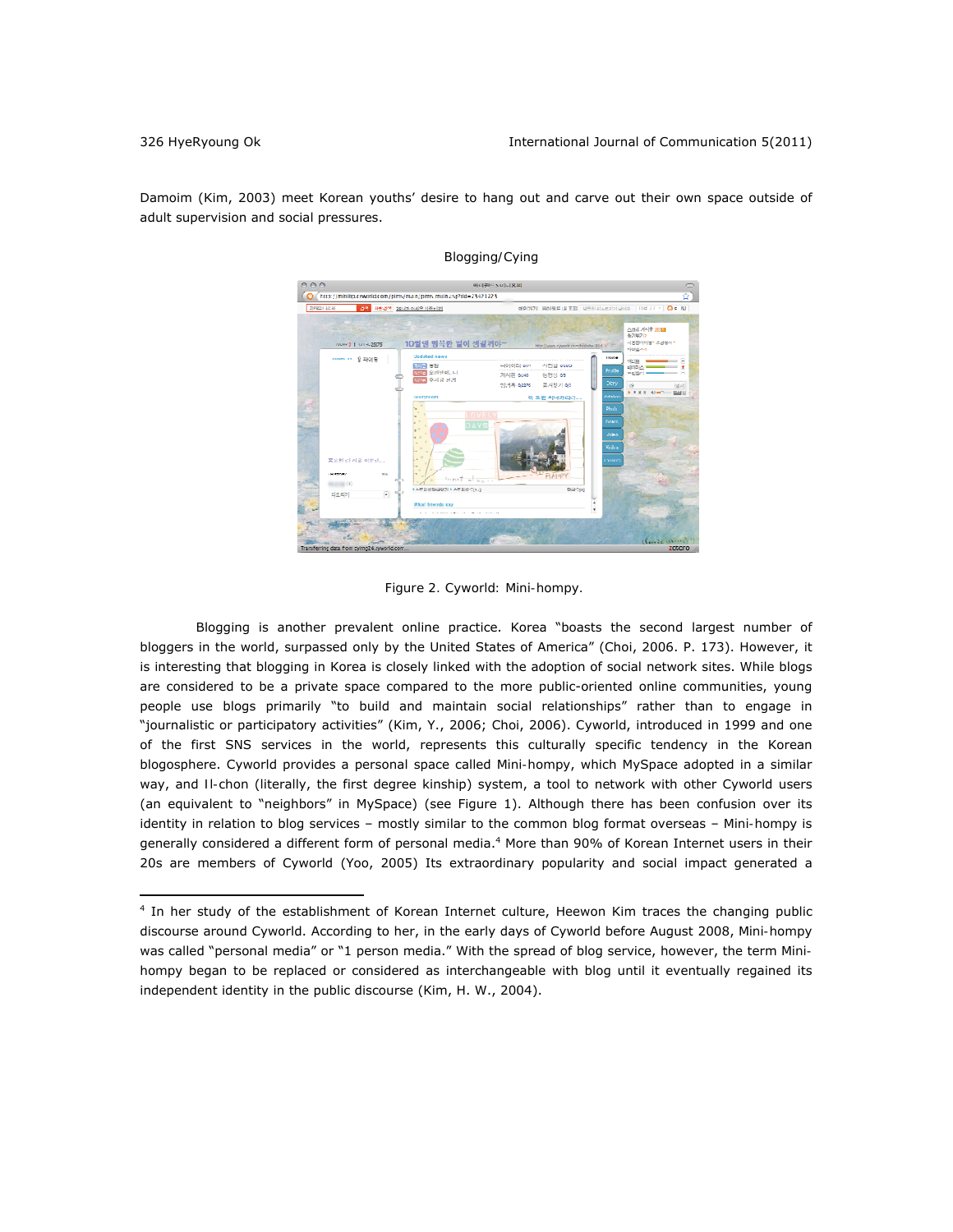Damoim (Kim, 2003) meet Korean youths' desire to hang out and carve out their own space outside of adult supervision and social pressures.



 *Blogging/*Cying

*Figure 2. Cyworld: Mini-hompy.* 

Blogging is another prevalent online practice. Korea "boasts the second largest number of bloggers in the world, surpassed only by the United States of America" (Choi, 2006. P. 173). However, it is interesting that blogging in Korea is closely linked with the adoption of social network sites. While blogs are considered to be a private space compared to the more public-oriented online communities, young people use blogs primarily "to build and maintain social relationships" rather than to engage in "journalistic or participatory activities" (Kim, Y., 2006; Choi, 2006). *Cyworld*, introduced in 1999 and one of the first SNS services in the world, represents this culturally specific tendency in the Korean blogosphere. Cyworld provides a personal space called *Mini-hompy*, which MySpace adopted in a similar way, and *Il-chon* (literally, the first degree kinship) system, a tool to network with other Cyworld users (an equivalent to "neighbors" in MySpace) (see Figure 1). Although there has been confusion over its identity in relation to blog services – mostly similar to the common blog format overseas – *Mini-hompy* is generally considered a different form of personal media.<sup>4</sup> More than 90% of Korean Internet users in their 20s are members of Cyworld (Yoo, 2005) Its extraordinary popularity and social impact generated a

<sup>4</sup> In her study of the establishment of Korean Internet culture, Heewon Kim traces the changing public discourse around Cyworld. According to her, in the early days of Cyworld before August 2008, *Mini-hompy* was called "personal media" or "1 person media." With the spread of blog service, however, the term *Minihompy* began to be replaced or considered as interchangeable with blog until it eventually regained its independent identity in the public discourse (Kim, H. W., 2004).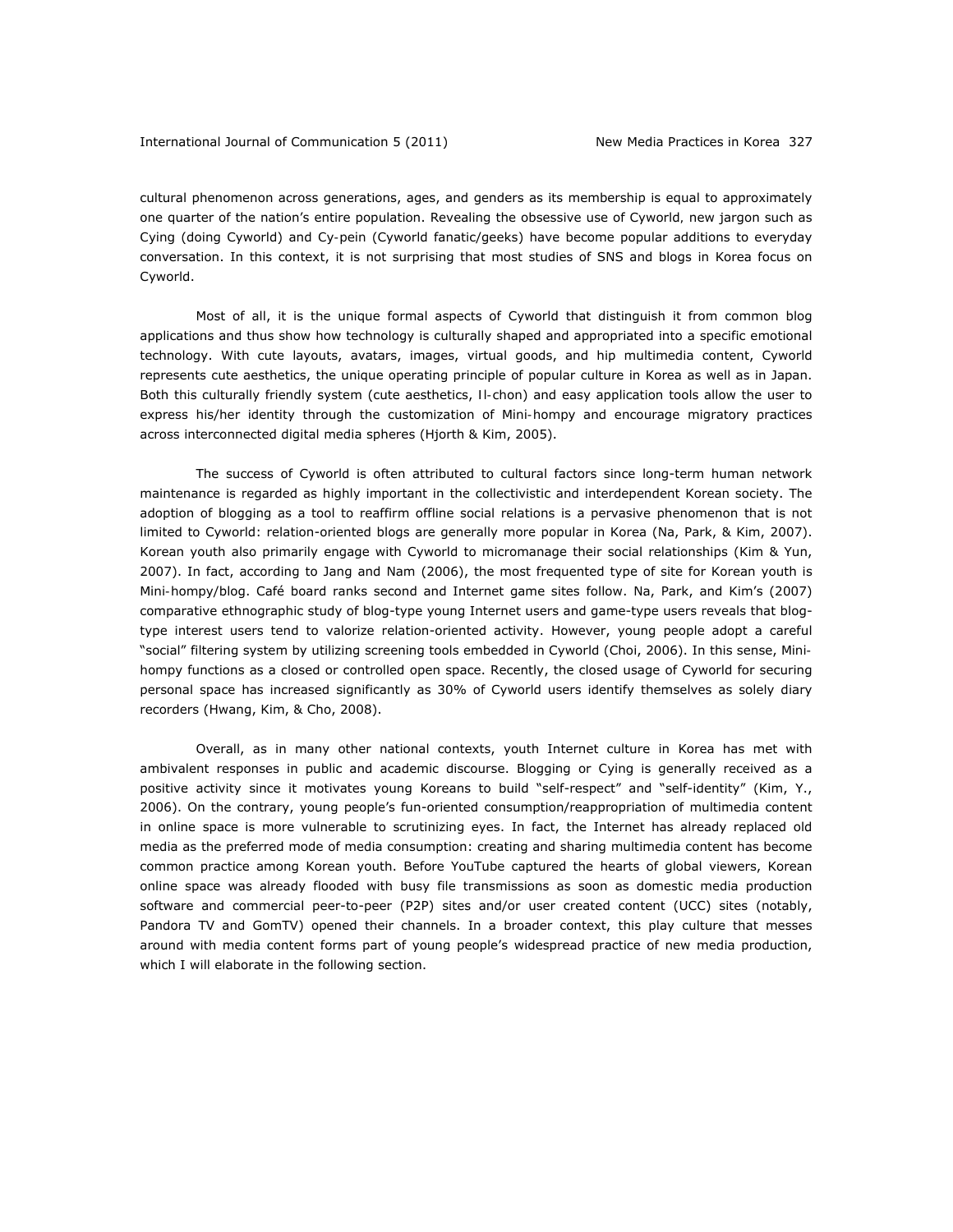cultural phenomenon across generations, ages, and genders as its membership is equal to approximately one quarter of the nation's entire population. Revealing the obsessive use of Cyworld*,* new jargon such as *Cying* (doing Cyworld) and *Cy-pein* (Cyworld fanatic/geeks) have become popular additions to everyday conversation. In this context, it is not surprising that most studies of SNS and blogs in Korea focus on Cyworld.

Most of all, it is the unique formal aspects of Cyworld that distinguish it from common blog applications and thus show how technology is culturally shaped and appropriated into a specific emotional technology. With cute layouts, avatars, images, virtual goods, and hip multimedia content, Cyworld represents cute aesthetics, the unique operating principle of popular culture in Korea as well as in Japan. Both this culturally friendly system (cute aesthetics, *Il-chon*) and easy application tools allow the user to express his/her identity through the customization of *Mini-hompy* and encourage migratory practices across interconnected digital media spheres (Hjorth & Kim, 2005).

The success of Cyworld is often attributed to cultural factors since long-term human network maintenance is regarded as highly important in the collectivistic and interdependent Korean society. The adoption of blogging as a tool to reaffirm offline social relations is a pervasive phenomenon that is not limited to Cyworld: relation-oriented blogs are generally more popular in Korea (Na, Park, & Kim, 2007). Korean youth also primarily engage with Cyworld to micromanage their social relationships (Kim & Yun, 2007). In fact, according to Jang and Nam (2006), the most frequented type of site for Korean youth is *Mini-hompy*/blog. Café board ranks second and Internet game sites follow. Na, Park, and Kim's (2007) comparative ethnographic study of blog-type young Internet users and game-type users reveals that blogtype interest users tend to valorize relation-oriented activity. However, young people adopt a careful "social" filtering system by utilizing screening tools embedded in Cyworld (Choi, 2006). In this sense, *Minihompy* functions as a closed or controlled open space. Recently, the closed usage of Cyworld for securing personal space has increased significantly as 30% of Cyworld users identify themselves as solely diary recorders (Hwang, Kim, & Cho, 2008).

Overall, as in many other national contexts, youth Internet culture in Korea has met with ambivalent responses in public and academic discourse. Blogging or *Cying* is generally received as a positive activity since it motivates young Koreans to build "self-respect" and "self-identity" (Kim, Y., 2006). On the contrary, young people's fun-oriented consumption/reappropriation of multimedia content in online space is more vulnerable to scrutinizing eyes. In fact, the Internet has already replaced old media as the preferred mode of media consumption: creating and sharing multimedia content has become common practice among Korean youth. Before YouTube captured the hearts of global viewers, Korean online space was already flooded with busy file transmissions as soon as domestic media production software and commercial peer-to-peer (P2P) sites and/or user created content (UCC) sites (notably, Pandora TV and GomTV) opened their channels. In a broader context, this play culture that messes around with media content forms part of young people's widespread practice of new media production, which I will elaborate in the following section.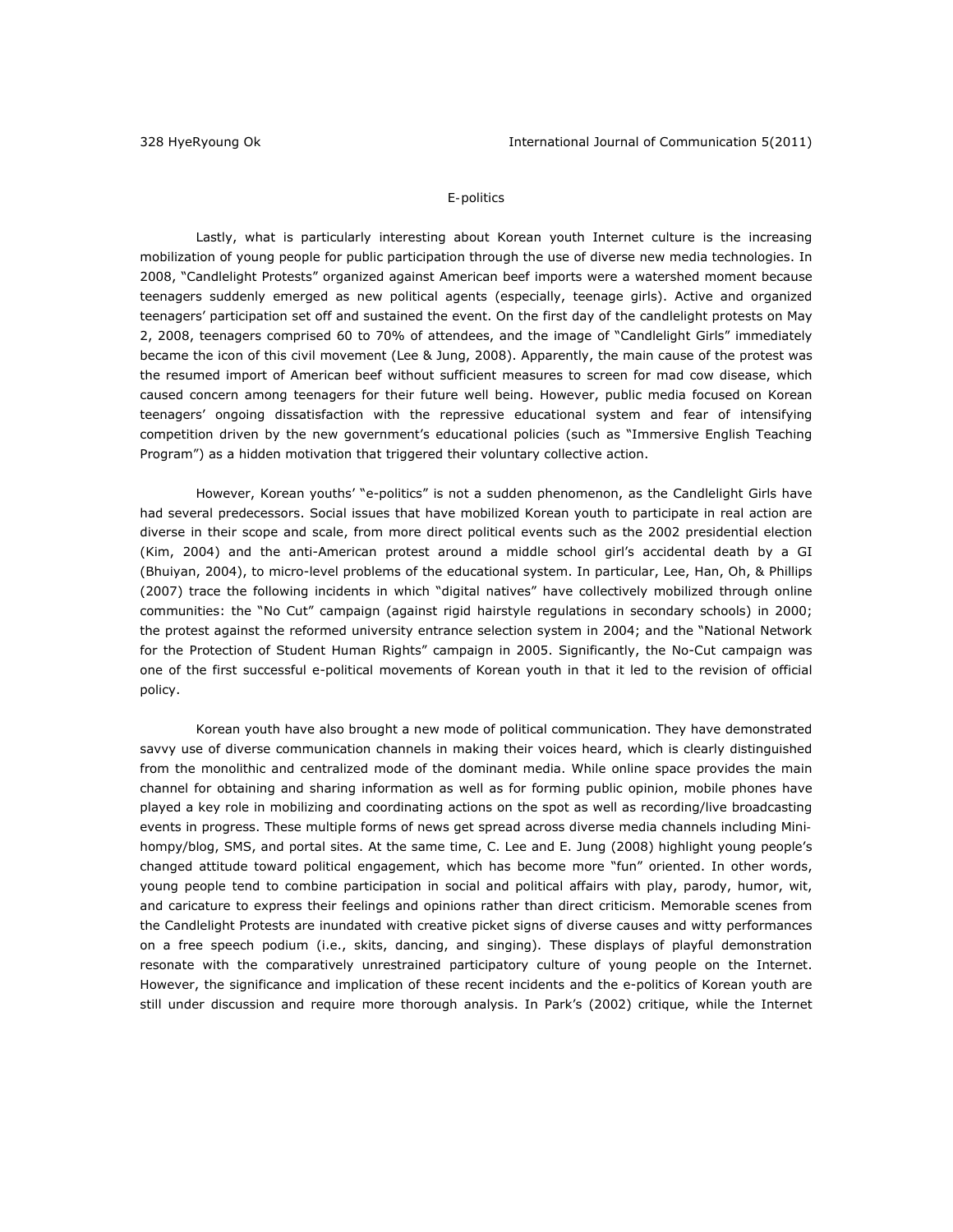# *E-politics*

Lastly, what is particularly interesting about Korean youth Internet culture is the increasing mobilization of young people for public participation through the use of diverse new media technologies. In 2008, "Candlelight Protests" organized against American beef imports were a watershed moment because teenagers suddenly emerged as new political agents (especially, teenage girls). Active and organized teenagers' participation set off and sustained the event. On the first day of the candlelight protests on May 2, 2008, teenagers comprised 60 to 70% of attendees, and the image of "Candlelight Girls" immediately became the icon of this civil movement (Lee & Jung, 2008). Apparently, the main cause of the protest was the resumed import of American beef without sufficient measures to screen for mad cow disease, which caused concern among teenagers for their future well being. However, public media focused on Korean teenagers' ongoing dissatisfaction with the repressive educational system and fear of intensifying competition driven by the new government's educational policies (such as "Immersive English Teaching Program") as a hidden motivation that triggered their voluntary collective action.

However, Korean youths' "e-politics" is not a sudden phenomenon, as the Candlelight Girls have had several predecessors. Social issues that have mobilized Korean youth to participate in real action are diverse in their scope and scale, from more direct political events such as the 2002 presidential election (Kim, 2004) and the anti-American protest around a middle school girl's accidental death by a GI (Bhuiyan, 2004), to micro-level problems of the educational system. In particular, Lee, Han, Oh, & Phillips (2007) trace the following incidents in which "digital natives" have collectively mobilized through online communities: the "No Cut" campaign (against rigid hairstyle regulations in secondary schools) in 2000; the protest against the reformed university entrance selection system in 2004; and the "National Network for the Protection of Student Human Rights" campaign in 2005. Significantly, the No-Cut campaign was one of the first successful e-political movements of Korean youth in that it led to the revision of official policy.

Korean youth have also brought a new mode of political communication. They have demonstrated savvy use of diverse communication channels in making their voices heard, which is clearly distinguished from the monolithic and centralized mode of the dominant media. While online space provides the main channel for obtaining and sharing information as well as for forming public opinion, mobile phones have played a key role in mobilizing and coordinating actions on the spot as well as recording/live broadcasting events in progress. These multiple forms of news get spread across diverse media channels including *Minihompy*/blog, SMS, and portal sites. At the same time, C. Lee and E. Jung (2008) highlight young people's changed attitude toward political engagement, which has become more "fun" oriented. In other words, young people tend to combine participation in social and political affairs with play, parody, humor, wit, and caricature to express their feelings and opinions rather than direct criticism. Memorable scenes from the Candlelight Protests are inundated with creative picket signs of diverse causes and witty performances on a free speech podium (i.e., skits, dancing, and singing). These displays of playful demonstration resonate with the comparatively unrestrained participatory culture of young people on the Internet. However, the significance and implication of these recent incidents and the e-politics of Korean youth are still under discussion and require more thorough analysis. In Park's (2002) critique, while the Internet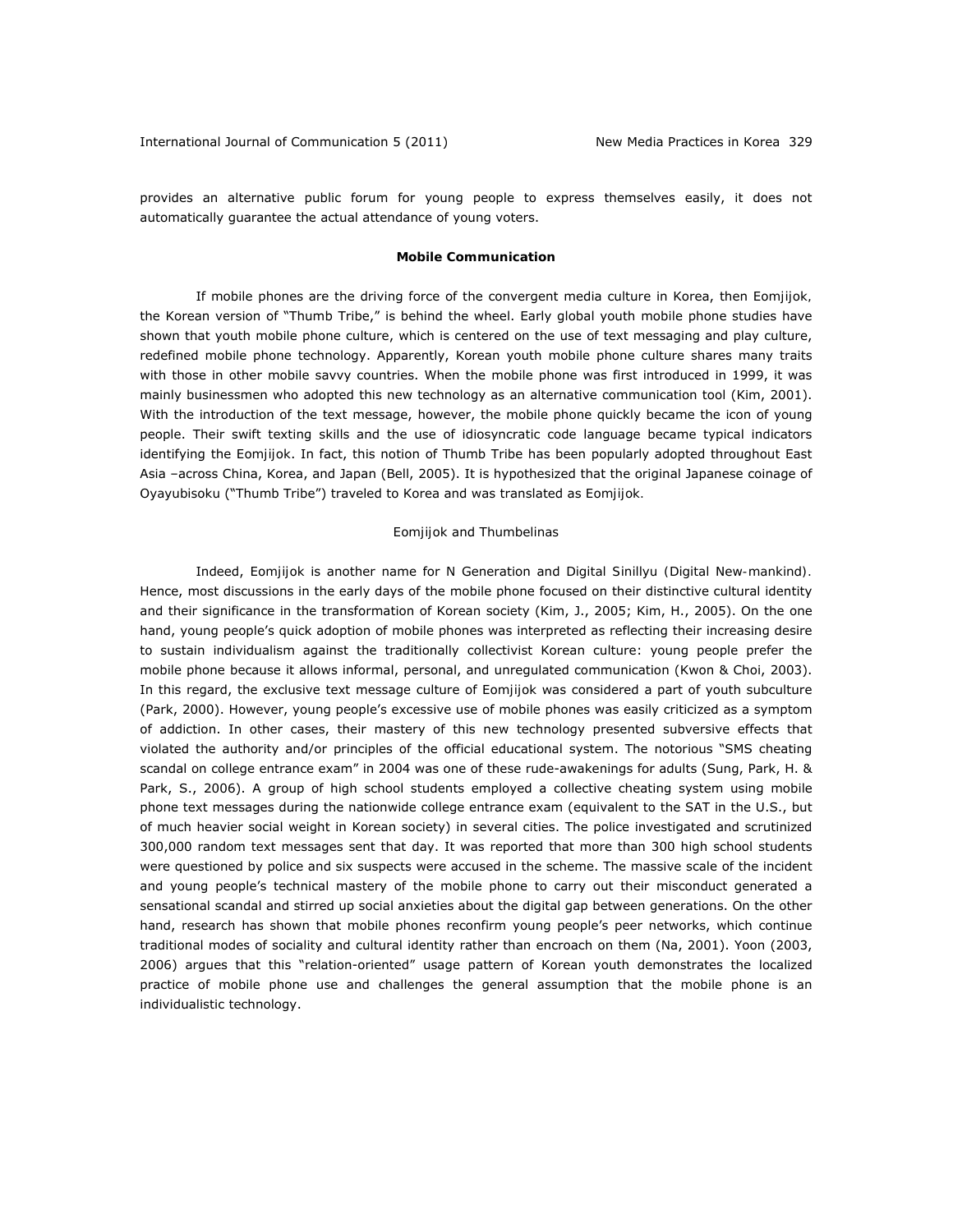provides an alternative public forum for young people to express themselves easily, it does not automatically guarantee the actual attendance of young voters.

### **Mobile Communication**

If mobile phones are the driving force of the convergent media culture in Korea, then *Eomjijok,*  the Korean version of "Thumb Tribe," is behind the wheel. Early global youth mobile phone studies have shown that youth mobile phone culture, which is centered on the use of text messaging and play culture, redefined mobile phone technology. Apparently, Korean youth mobile phone culture shares many traits with those in other mobile savvy countries. When the mobile phone was first introduced in 1999, it was mainly businessmen who adopted this new technology as an alternative communication tool (Kim, 2001). With the introduction of the text message, however, the mobile phone quickly became the icon of young people. Their swift texting skills and the use of idiosyncratic code language became typical indicators identifying the *Eomjijok*. In fact, this notion of Thumb Tribe has been popularly adopted throughout East Asia –across China, Korea, and Japan (Bell, 2005). It is hypothesized that the original Japanese coinage of *Oyayubisoku* ("Thumb Tribe") traveled to Korea and was translated as *Eomjijok.*

### *Eomjijok* and *Thumbelinas*

Indeed, *Eomjijok* is another name for N Generation and *Digital Sinillyu (Digital New-mankind).* Hence, most discussions in the early days of the mobile phone focused on their distinctive cultural identity and their significance in the transformation of Korean society (Kim, J., 2005; Kim, H., 2005). On the one hand, young people's quick adoption of mobile phones was interpreted as reflecting their increasing desire to sustain individualism against the traditionally collectivist Korean culture: young people prefer the mobile phone because it allows informal, personal, and unregulated communication (Kwon & Choi, 2003). In this regard, the exclusive text message culture of *Eomjijok* was considered a part of youth subculture (Park, 2000). However, young people's excessive use of mobile phones was easily criticized as a symptom of addiction. In other cases, their mastery of this new technology presented subversive effects that violated the authority and/or principles of the official educational system. The notorious "SMS cheating scandal on college entrance exam" in 2004 was one of these rude-awakenings for adults (Sung, Park, H. & Park, S., 2006). A group of high school students employed a collective cheating system using mobile phone text messages during the nationwide college entrance exam (equivalent to the SAT in the U.S., but of much heavier social weight in Korean society) in several cities. The police investigated and scrutinized 300,000 random text messages sent that day. It was reported that more than 300 high school students were questioned by police and six suspects were accused in the scheme. The massive scale of the incident and young people's technical mastery of the mobile phone to carry out their misconduct generated a sensational scandal and stirred up social anxieties about the digital gap between generations. On the other hand, research has shown that mobile phones reconfirm young people's peer networks, which continue traditional modes of sociality and cultural identity rather than encroach on them (Na, 2001). Yoon (2003, 2006) argues that this "relation-oriented" usage pattern of Korean youth demonstrates the localized practice of mobile phone use and challenges the general assumption that the mobile phone is an individualistic technology.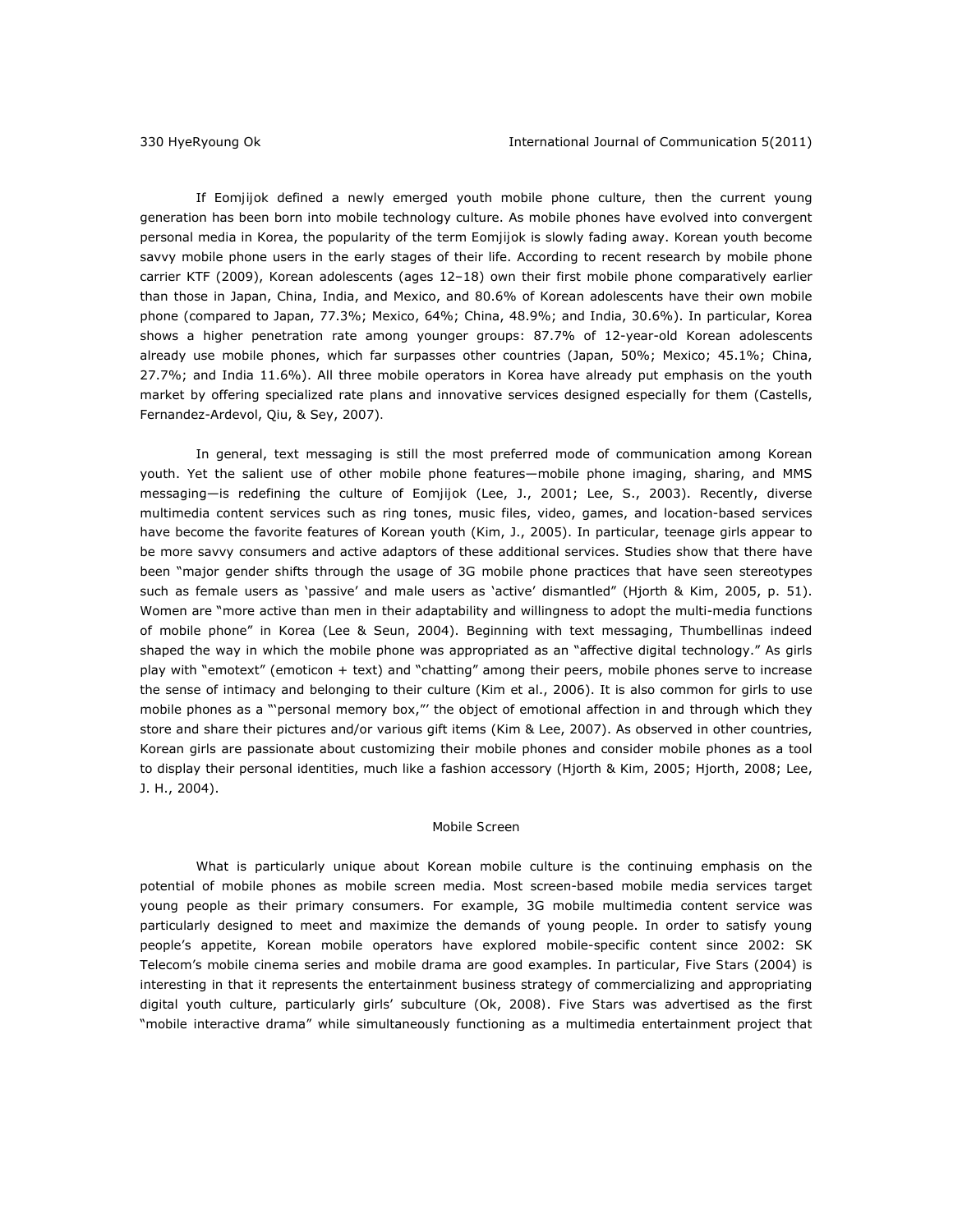If *Eomjijok* defined a newly emerged youth mobile phone culture, then the current young generation has been born into mobile technology culture. As mobile phones have evolved into convergent personal media in Korea, the popularity of the term *Eomjijok* is slowly fading away. Korean youth become savvy mobile phone users in the early stages of their life. According to recent research by mobile phone carrier KTF (2009), Korean adolescents (ages 12–18) own their first mobile phone comparatively earlier than those in Japan, China, India, and Mexico, and 80.6% of Korean adolescents have their own mobile phone (compared to Japan, 77.3%; Mexico, 64%; China, 48.9%; and India, 30.6%). In particular, Korea shows a higher penetration rate among younger groups: 87.7% of 12-year-old Korean adolescents already use mobile phones, which far surpasses other countries (Japan, 50%; Mexico; 45.1%; China, 27.7%; and India 11.6%). All three mobile operators in Korea have already put emphasis on the youth market by offering specialized rate plans and innovative services designed especially for them (Castells, Fernandez-Ardevol, Qiu, & Sey, 2007)*.*

In general, text messaging is still the most preferred mode of communication among Korean youth. Yet the salient use of other mobile phone features—mobile phone imaging, sharing, and MMS messaging—is redefining the culture of *Eomjijok* (Lee, J., 2001; Lee, S., 2003). Recently, diverse multimedia content services such as ring tones, music files, video, games, and location-based services have become the favorite features of Korean youth (Kim, J., 2005). In particular, teenage girls appear to be more savvy consumers and active adaptors of these additional services. Studies show that there have been "major gender shifts through the usage of 3G mobile phone practices that have seen stereotypes such as female users as 'passive' and male users as 'active' dismantled" (Hjorth & Kim, 2005, p. 51). Women are "more active than men in their adaptability and willingness to adopt the multi-media functions of mobile phone" in Korea (Lee & Seun, 2004). Beginning with text messaging, *Thumbellinas* indeed shaped the way in which the mobile phone was appropriated as an "affective digital technology." As girls play with "emotext" (emoticon + text) and "chatting" among their peers, mobile phones serve to increase the sense of intimacy and belonging to their culture (Kim et al., 2006). It is also common for girls to use mobile phones as a "'personal memory box,"' the object of emotional affection in and through which they store and share their pictures and/or various gift items (Kim & Lee, 2007). As observed in other countries, Korean girls are passionate about customizing their mobile phones and consider mobile phones as a tool to display their personal identities, much like a fashion accessory (Hjorth & Kim, 2005; Hjorth, 2008; Lee, J. H., 2004).

### *Mobile Screen*

What is particularly unique about Korean mobile culture is the continuing emphasis on the potential of mobile phones as mobile screen media. Most screen-based mobile media services target young people as their primary consumers. For example, 3G mobile multimedia content service was particularly designed to meet and maximize the demands of young people. In order to satisfy young people's appetite, Korean mobile operators have explored mobile-specific content since 2002: SK Telecom's *mobile cinema* series and *mobile drama* are good examples. In particular, *Five Stars* (2004) is interesting in that it represents the entertainment business strategy of commercializing and appropriating digital youth culture, particularly girls' subculture (Ok, 2008*)*. *Five Stars* was advertised as the first "mobile interactive drama" while simultaneously functioning as a multimedia entertainment project that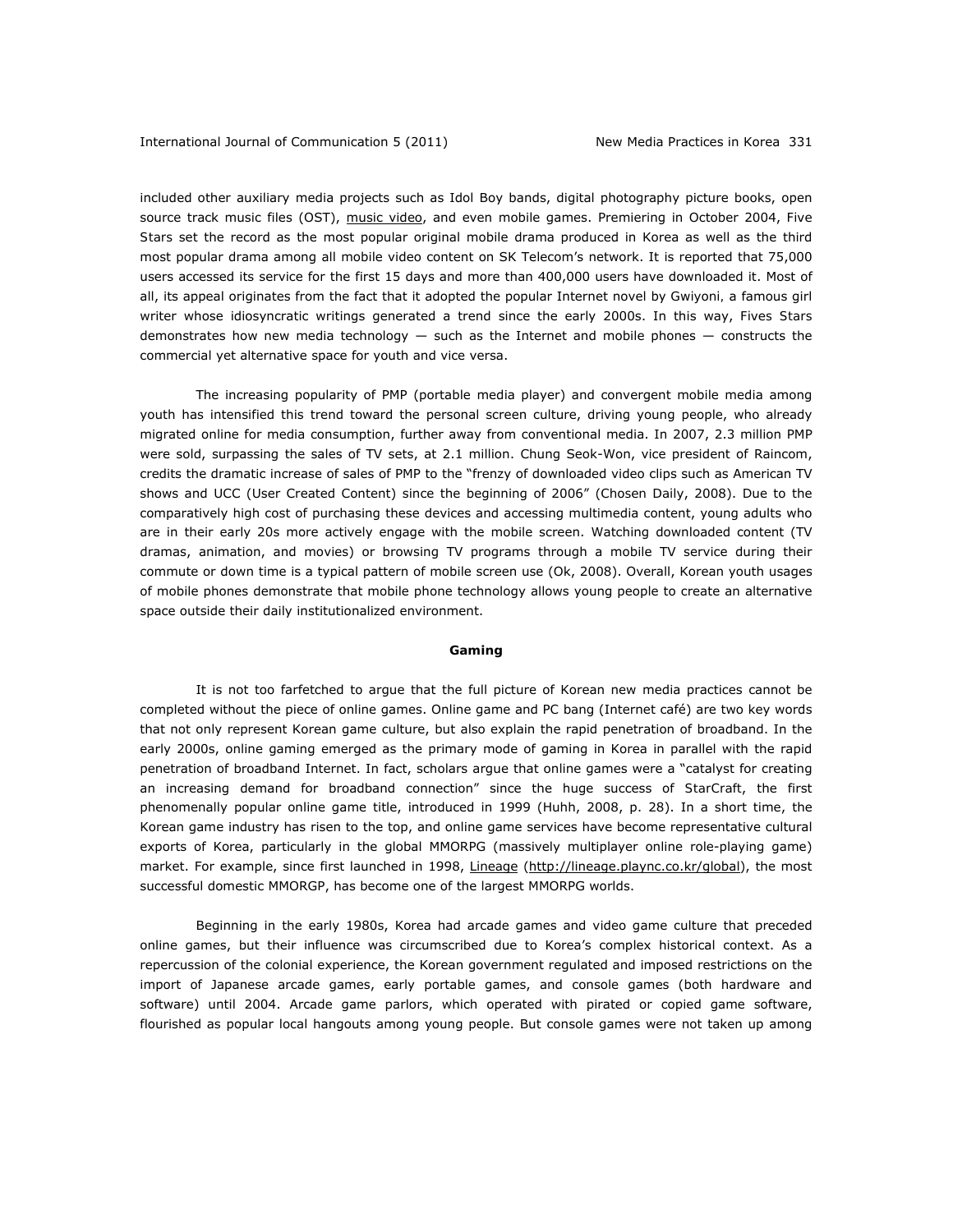included other auxiliary media projects such as Idol Boy bands, digital photography picture books, open source track music files (OST), [music video,](http://channel.pandora.tv/channel/video.ptv?ref=na&redirect=prg&ch_userid=ziziss&prgid=33541333&categid=) and even mobile games. Premiering in October 2004, *Five Stars* set the record as the most popular original mobile drama produced in Korea as well as the third most popular drama among all mobile video content on SK Telecom's network. It is reported that 75,000 users accessed its service for the first 15 days and more than 400,000 users have downloaded it. Most of all, its appeal originates from the fact that it adopted the popular Internet novel by *Gwiyoni,* a famous girl writer whose idiosyncratic writings generated a trend since the early 2000s. In this way, *Fives Stars*  demonstrates how new media technology  $-$  such as the Internet and mobile phones  $-$  constructs the commercial yet alternative space for youth and vice versa.

The increasing popularity of PMP (portable media player) and convergent mobile media among youth has intensified this trend toward the personal screen culture, driving young people, who already migrated online for media consumption, further away from conventional media. In 2007, 2.3 million PMP were sold, surpassing the sales of TV sets, at 2.1 million. Chung Seok-Won, vice president of Raincom, credits the dramatic increase of sales of PMP to the "frenzy of downloaded video clips such as American TV shows and UCC (User Created Content) since the beginning of 2006" (*Chosen Daily*, 2008). Due to the comparatively high cost of purchasing these devices and accessing multimedia content, young adults who are in their early 20s more actively engage with the mobile screen. Watching downloaded content (TV dramas, animation, and movies) or browsing TV programs through a mobile TV service during their commute or down time is a typical pattern of mobile screen use (Ok, 2008). Overall, Korean youth usages of mobile phones demonstrate that mobile phone technology allows young people to create an alternative space outside their daily institutionalized environment.

#### **Gaming**

It is not too farfetched to argue that the full picture of Korean new media practices cannot be completed without the piece of online games. Online game and *PC bang* (Internet café) are two key words that not only represent Korean game culture, but also explain the rapid penetration of broadband. In the early 2000s, online gaming emerged as the primary mode of gaming in Korea in parallel with the rapid penetration of broadband Internet. In fact, scholars argue that online games were a "catalyst for creating an increasing demand for broadband connection" since the huge success of *StarCraft*, the first phenomenally popular online game title, introduced in 1999 (Huhh, 2008, p. 28). In a short time, the Korean game industry has risen to the top, and online game services have become representative cultural exports of Korea, particularly in the global MMORPG (massively multiplayer online role-playing game) market. For example, since first launched in 1998, *Lineage* (http://lineage.plaync.co.kr/global), the most successful domestic MMORGP, has become one of the largest MMORPG worlds.

Beginning in the early 1980s, Korea had arcade games and video game culture that preceded online games, but their influence was circumscribed due to Korea's complex historical context. As a repercussion of the colonial experience, the Korean government regulated and imposed restrictions on the import of Japanese arcade games, early portable games, and console games (both hardware and software) until 2004. Arcade game parlors, which operated with pirated or copied game software, flourished as popular local hangouts among young people. But console games were not taken up among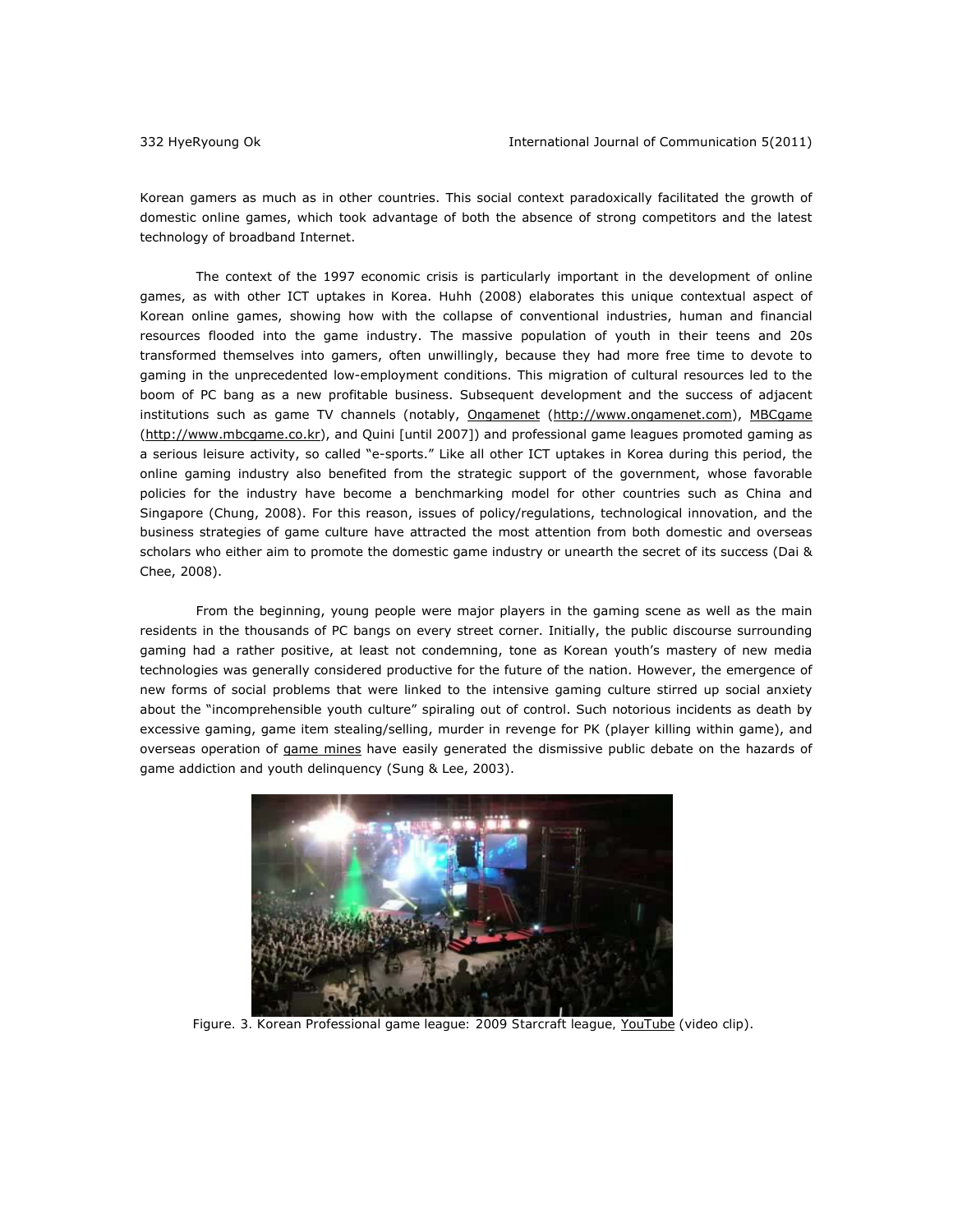Korean gamers as much as in other countries. This social context paradoxically facilitated the growth of domestic online games, which took advantage of both the absence of strong competitors and the latest technology of broadband Internet.

The context of the 1997 economic crisis is particularly important in the development of online games, as with other ICT uptakes in Korea. Huhh (2008) elaborates this unique contextual aspect of Korean online games, showing how with the collapse of conventional industries, human and financial resources flooded into the game industry. The massive population of youth in their teens and 20s transformed themselves into gamers, often unwillingly, because they had more free time to devote to gaming in the unprecedented low-employment conditions. This migration of cultural resources led to the boom of *PC bang* as a new profitable business. Subsequent development and the success of adjacent institutions such as game TV channels (notably, Ongamenet (http://www.ongamenet.com), MBCgame (http://www.mbcgame.co.kr), and Quini [until 2007]) and professional game leagues promoted gaming as a serious leisure activity, so called "e-sports." Like all other ICT uptakes in Korea during this period, the online gaming industry also benefited from the strategic support of the government, whose favorable policies for the industry have become a benchmarking model for other countries such as China and Singapore (Chung, 2008). For this reason, issues of policy/regulations, technological innovation, and the business strategies of game culture have attracted the most attention from both domestic and overseas scholars who either aim to promote the domestic game industry or unearth the secret of its success (Dai & Chee, 2008).

From the beginning, young people were major players in the gaming scene as well as the main residents in the thousands of *PC bangs* on every street corner. Initially, the public discourse surrounding gaming had a rather positive, at least not condemning, tone as Korean youth's mastery of new media technologies was generally considered productive for the future of the nation. However, the emergence of new forms of social problems that were linked to the intensive gaming culture stirred up social anxiety about the "incomprehensible youth culture" spiraling out of control. Such notorious incidents as death by excessive gaming, game item stealing/selling, murder in revenge for PK (player killing within game), and overseas operation of [game mines](http://www.youtube.com/watch?v=ho5Yxe6UVv4) have easily generated the dismissive public debate on the hazards of game addiction and youth delinquency (Sung & Lee, 2003).



 *Figure. 3. [Korean Professional game league: 2009 Starcraft league, YouTube](http://www.youtube.com/watch?v=AAEeOkw8obk)* (video clip).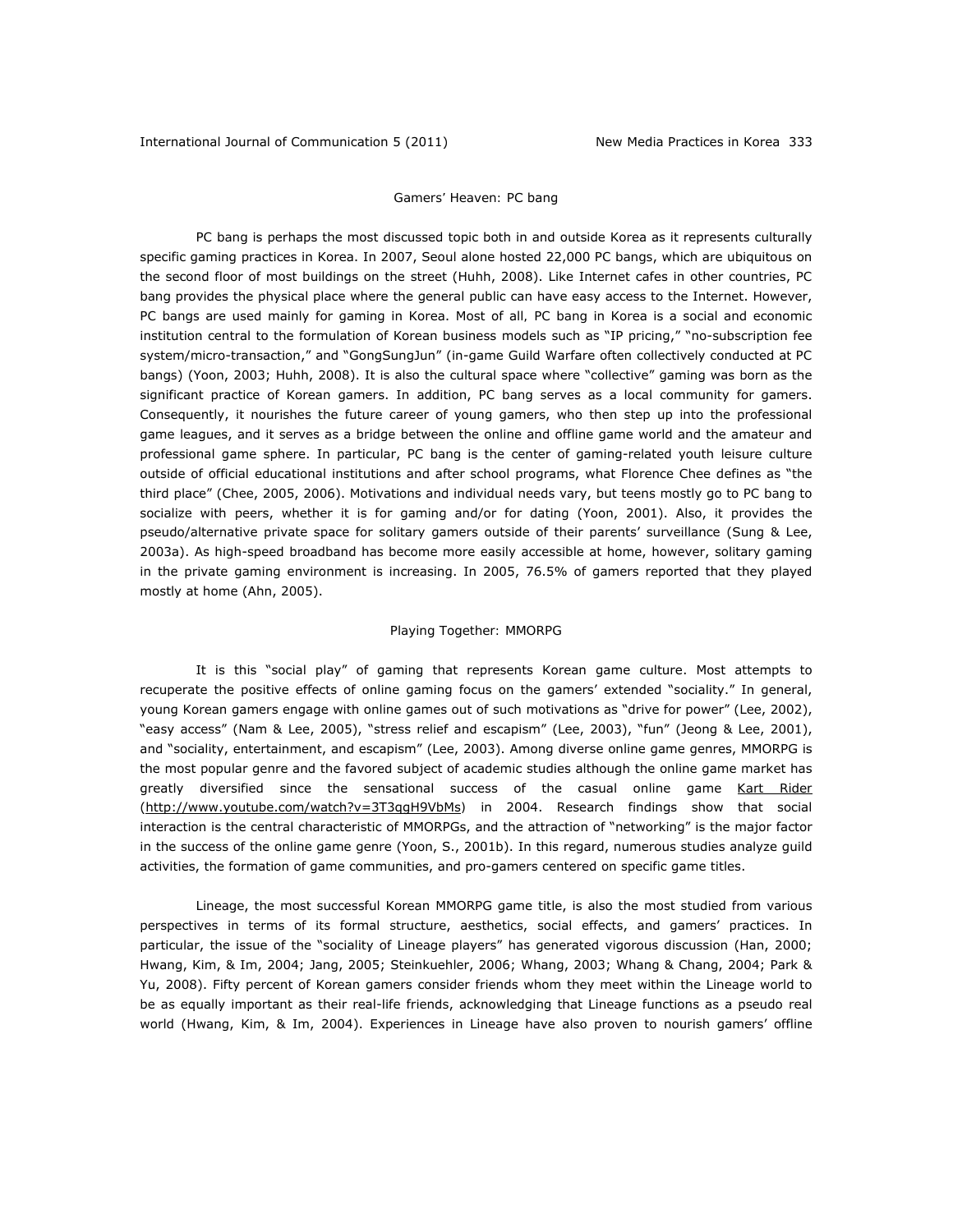# *Gamers' Heaven:* PC bang

*PC bang* is perhaps the most discussed topic both in and outside Korea as it represents culturally specific gaming practices in Korea. In 2007, Seoul alone hosted 22,000 *PC bangs*, which are ubiquitous on the second floor of most buildings on the street (Huhh, 2008). Like Internet cafes in other countries, *PC bang* provides the physical place where the general public can have easy access to the Internet. However, *PC bangs* are used mainly for gaming in Korea. Most of all*, PC bang* in Korea is a social and economic institution central to the formulation of Korean business models such as "IP pricing," "no-subscription fee system/micro-transaction," and "GongSungJun" (in-game Guild Warfare often collectively conducted at *PC bangs*) (Yoon, 2003; Huhh, 2008). It is also the cultural space where "collective" gaming was born as the significant practice of Korean gamers. In addition, *PC bang* serves as a local community for gamers. Consequently, it nourishes the future career of young gamers, who then step up into the professional game leagues, and it serves as a bridge between the online and offline game world and the amateur and professional game sphere. In particular, *PC bang* is the center of gaming-related youth leisure culture outside of official educational institutions and after school programs, what Florence Chee defines as "the third place" (Chee, 2005, 2006). Motivations and individual needs vary, but teens mostly go to *PC bang* to socialize with peers, whether it is for gaming and/or for dating (Yoon, 2001). Also, it provides the pseudo/alternative private space for solitary gamers outside of their parents' surveillance (Sung & Lee, 2003a). As high-speed broadband has become more easily accessible at home, however, solitary gaming in the private gaming environment is increasing. In 2005, 76.5% of gamers reported that they played mostly at home (Ahn, 2005).

### *Playing Together: MMORPG*

It is this "social play" of gaming that represents Korean game culture. Most attempts to recuperate the positive effects of online gaming focus on the gamers' extended "sociality." In general, young Korean gamers engage with online games out of such motivations as "drive for power" (Lee, 2002), "easy access" (Nam & Lee, 2005), "stress relief and escapism" (Lee, 2003), "fun" (Jeong & Lee, 2001), and "sociality, entertainment, and escapism" (Lee, 2003). Among diverse online game genres, MMORPG is the most popular genre and the favored subject of academic studies although the online game market has greatly diversified since the sensational success of the casual online game *Kart Rider* (http://www.youtube.com/watch?v=3T3qgH9VbMs*)* in 2004. Research findings show that social interaction is the central characteristic of MMORPGs, and the attraction of "networking" is the major factor in the success of the online game genre (Yoon, S., 2001b). In this regard, numerous studies analyze guild activities, the formation of game communities, and pro-gamers centered on specific game titles.

*Lineage*, the most successful Korean MMORPG game title, is also the most studied from various perspectives in terms of its formal structure, aesthetics, social effects, and gamers' practices. In particular, the issue of the "sociality of *Lineage* players" has generated vigorous discussion (Han, 2000; Hwang, Kim, & Im, 2004; Jang, 2005; Steinkuehler, 2006; Whang, 2003; Whang & Chang, 2004; Park & Yu, 2008). Fifty percent of Korean gamers consider friends whom they meet within the *Lineage* world to be as equally important as their real-life friends, acknowledging that *Lineage* functions as a pseudo real world (Hwang, Kim, & Im, 2004). Experiences in *Lineage* have also proven to nourish gamers' offline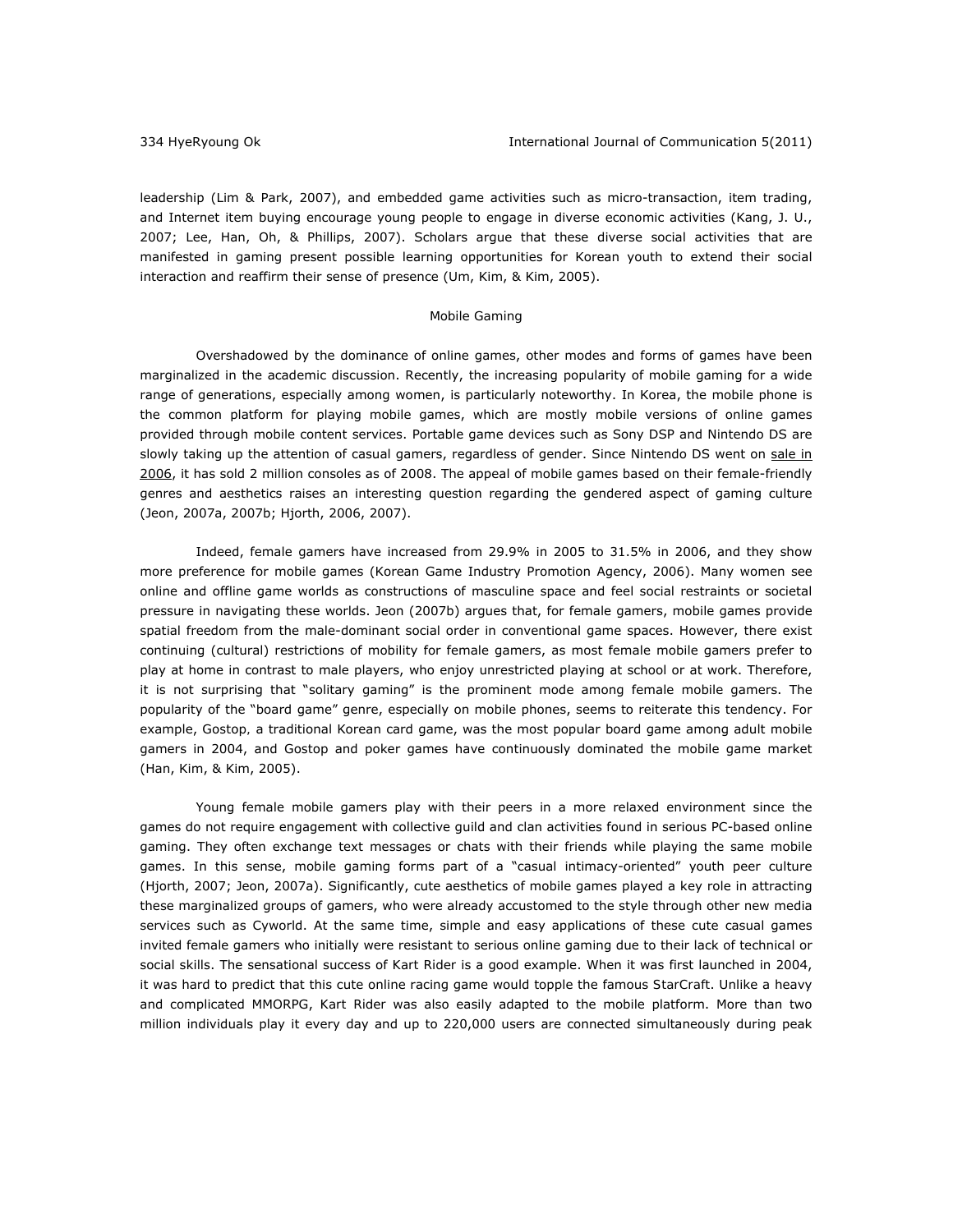leadership (Lim & Park, 2007), and embedded game activities such as micro-transaction, item trading, and Internet item buying encourage young people to engage in diverse economic activities (Kang, J. U., 2007; Lee, Han, Oh, & Phillips, 2007). Scholars argue that these diverse social activities that are manifested in gaming present possible learning opportunities for Korean youth to extend their social interaction and reaffirm their sense of presence (Um, Kim, & Kim, 2005).

#### *Mobile Gaming*

Overshadowed by the dominance of online games, other modes and forms of games have been marginalized in the academic discussion. Recently, the increasing popularity of mobile gaming for a wide range of generations, especially among women, is particularly noteworthy. In Korea, the mobile phone is the common platform for playing mobile games, which are mostly mobile versions of online games provided through mobile content services. Portable game devices such as Sony DSP and Nintendo DS are slowly taking up the attention of casual gamers, regardless of gender. Since Nintendo DS went on sale in [2006,](http://kotaku.com/5145045/ds-hits-two-million-sold-in-korea) it has sold 2 million consoles as of 2008. The appeal of mobile games based on their female-friendly genres and aesthetics raises an interesting question regarding the gendered aspect of gaming culture (Jeon, 2007a, 2007b; Hjorth, 2006, 2007).

Indeed, female gamers have increased from 29.9% in 2005 to 31.5% in 2006, and they show more preference for mobile games (Korean Game Industry Promotion Agency, 2006). Many women see online and offline game worlds as constructions of masculine space and feel social restraints or societal pressure in navigating these worlds. Jeon (2007b) argues that, for female gamers, mobile games provide spatial freedom from the male-dominant social order in conventional game spaces. However, there exist continuing (cultural) restrictions of mobility for female gamers, as most female mobile gamers prefer to play at home in contrast to male players, who enjoy unrestricted playing at school or at work. Therefore, it is not surprising that "solitary gaming" is the prominent mode among female mobile gamers. The popularity of the "board game" genre, especially on mobile phones, seems to reiterate this tendency. For example, *Gostop,* a traditional Korean card game, was the most popular board game among adult mobile gamers in 2004, and *Gostop* and poker games have continuously dominated the mobile game market (Han, Kim, & Kim, 2005).

Young female mobile gamers play with their peers in a more relaxed environment since the games do not require engagement with collective guild and clan activities found in serious PC-based online gaming. They often exchange text messages or chats with their friends while playing the same mobile games. In this sense, mobile gaming forms part of a "casual intimacy-oriented" youth peer culture (Hjorth, 2007; Jeon, 2007a). Significantly, cute aesthetics of mobile games played a key role in attracting these marginalized groups of gamers, who were already accustomed to the style through other new media services such as Cyworld. At the same time, simple and easy applications of these cute casual games invited female gamers who initially were resistant to serious online gaming due to their lack of technical or social skills. The sensational success of *Kart Rider* is a good example. When it was first launched in 2004, it was hard to predict that this cute online racing game would topple the famous *StarCraft*. Unlike a heavy and complicated MMORPG, *Kart Rider* was also easily adapted to the mobile platform. More than two million individuals play it every day and up to 220,000 users are connected simultaneously during peak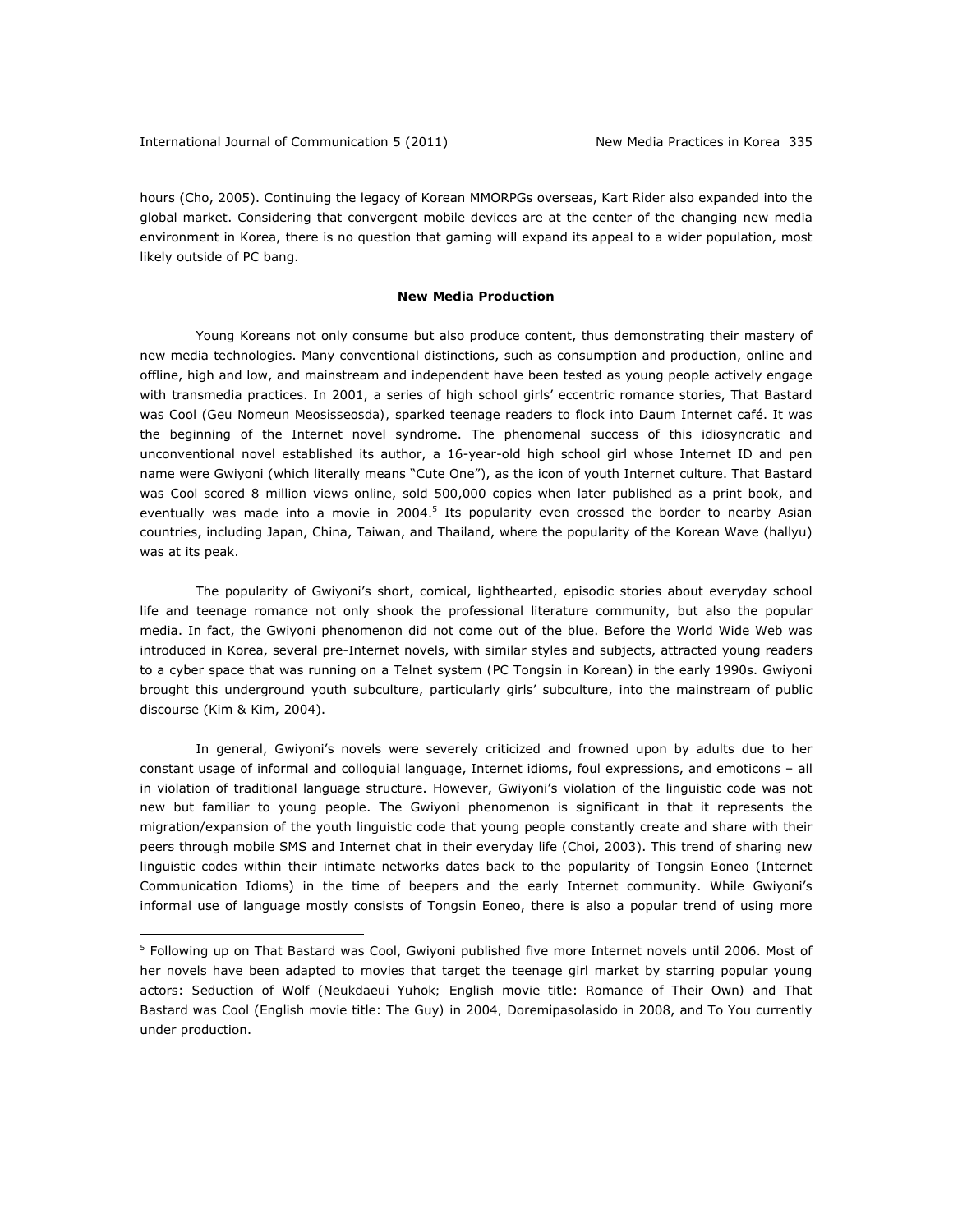hours (Cho, 2005). Continuing the legacy of Korean MMORPGs overseas, *Kart Rider* also expanded into the global market. Considering that convergent mobile devices are at the center of the changing new media environment in Korea, there is no question that gaming will expand its appeal to a wider population, most likely outside of *PC bang*.

### **New Media Production**

Young Koreans not only consume but also produce content, thus demonstrating their mastery of new media technologies. Many conventional distinctions, such as consumption and production, online and offline, high and low, and mainstream and independent have been tested as young people actively engage with transmedia practices. In 2001, a series of high school girls' eccentric romance stories, *That Bastard was Cool* (*Geu Nomeun Meosisseosda),* sparked teenage readers to flock into Daum Internet café. It was the beginning of the Internet novel syndrome. The phenomenal success of this idiosyncratic and unconventional novel established its author, a 16-year-old high school girl whose Internet ID and pen name were Gwiyoni (which literally means "Cute One"), as the icon of youth Internet culture. *That Bastard was Cool* scored 8 million views online, sold 500,000 copies when later published as a print book, and eventually was made into a movie in 2004.<sup>5</sup> Its popularity even crossed the border to nearby Asian countries, including Japan, China, Taiwan, and Thailand, where the popularity of the Korean Wave (*hallyu*) was at its peak.

The popularity of Gwiyoni's short, comical, lighthearted, episodic stories about everyday school life and teenage romance not only shook the professional literature community, but also the popular media. In fact, the Gwiyoni phenomenon did not come out of the blue. Before the World Wide Web was introduced in Korea, several pre-Internet novels, with similar styles and subjects, attracted young readers to a cyber space that was running on a Telnet system *(PC Tongsin* in Korean) in the early 1990s. Gwiyoni brought this underground youth subculture, particularly girls' subculture, into the mainstream of public discourse (Kim & Kim, 2004).

In general, Gwiyoni's novels were severely criticized and frowned upon by adults due to her constant usage of informal and colloquial language, Internet idioms, foul expressions, and emoticons – all in violation of traditional language structure. However, Gwiyoni's violation of the linguistic code was not new but familiar to young people. The Gwiyoni phenomenon is significant in that it represents the migration/expansion of the youth linguistic code that young people constantly create and share with their peers through mobile SMS and Internet chat in their everyday life (Choi, 2003). This trend of sharing new linguistic codes within their intimate networks dates back to the popularity of *Tongsin Eoneo* (Internet Communication Idioms) in the time of beepers and the early Internet community. While Gwiyoni's informal use of language mostly consists of *Tongsin Eoneo*, there is also a popular trend of using more

<sup>5</sup> Following up on *That Bastard was Cool*, Gwiyoni published five more Internet novels until 2006. Most of her novels have been adapted to movies that target the teenage girl market by starring popular young actors: *Seduction of Wolf* (*Neukdaeui Yuhok;* English movie title: *Romance of Their Own)* and *That Bastard was Cool* (English movie title: *The Guy)* in 2004*, Doremipasolasido* in 2008, and *To You* currently under production.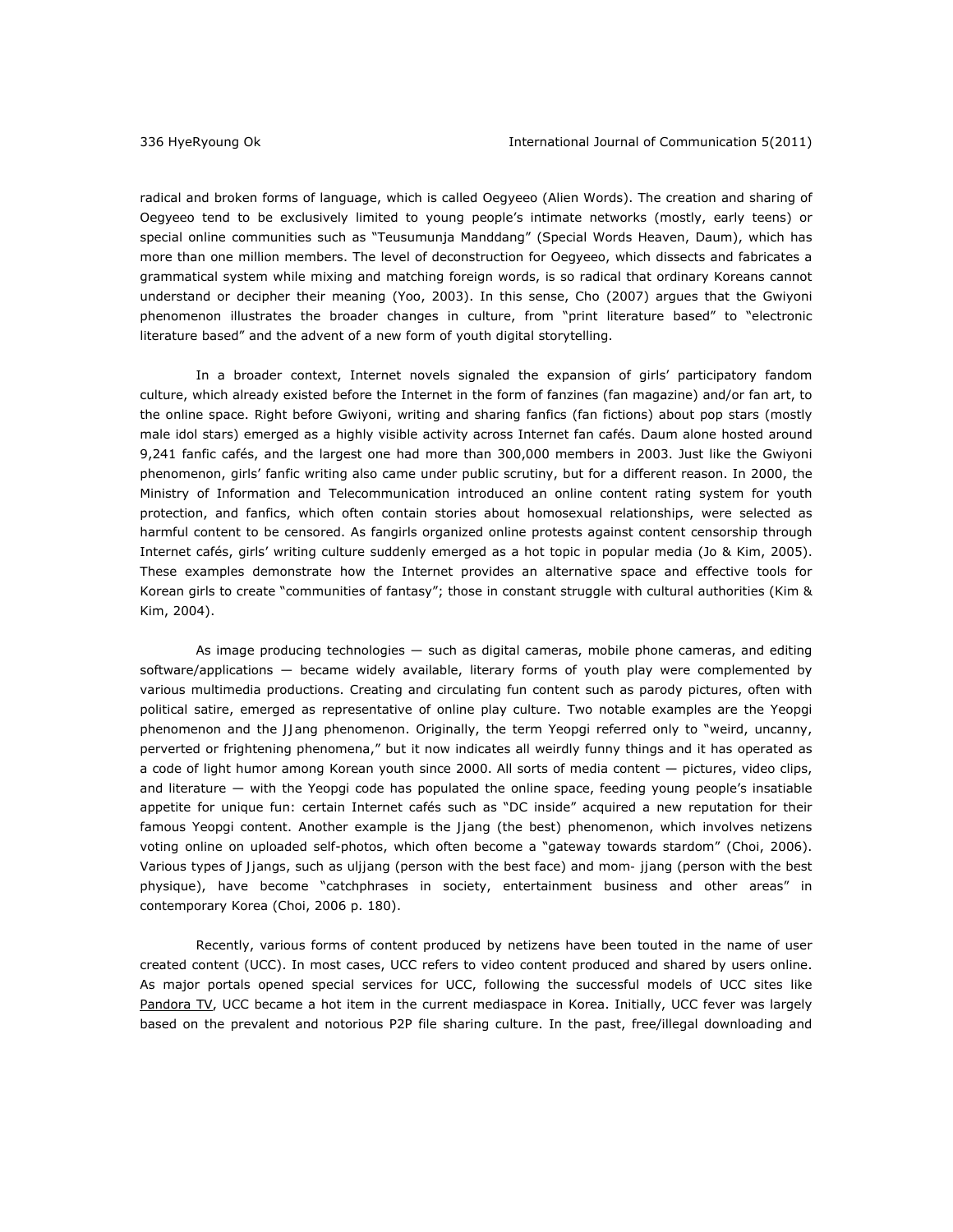radical and broken forms of language, which is called *Oegyeeo* (Alien Words). The creation and sharing of *Oegyeeo* tend to be exclusively limited to young people's intimate networks (mostly, early teens) or special online communities such as "Teusumunja Manddang" (Special Words Heaven, Daum), which has more than one million members. The level of deconstruction for *Oegyeeo*, which dissects and fabricates a grammatical system while mixing and matching foreign words, is so radical that ordinary Koreans cannot understand or decipher their meaning (Yoo, 2003). In this sense, Cho (2007) argues that the Gwiyoni phenomenon illustrates the broader changes in culture, from "print literature based" to "electronic literature based" and the advent of a new form of youth digital storytelling.

In a broader context, Internet novels signaled the expansion of girls' participatory fandom culture, which already existed before the Internet in the form of fanzines (fan magazine) and/or fan art, to the online space. Right before Gwiyoni, writing and sharing fanfics (fan fictions) about pop stars (mostly male idol stars) emerged as a highly visible activity across Internet fan cafés. Daum alone hosted around 9,241 fanfic cafés, and the largest one had more than 300,000 members in 2003. Just like the Gwiyoni phenomenon, girls' fanfic writing also came under public scrutiny, but for a different reason. In 2000, the Ministry of Information and Telecommunication introduced an online content rating system for youth protection, and fanfics, which often contain stories about homosexual relationships, were selected as harmful content to be censored. As fangirls organized online protests against content censorship through Internet cafés, girls' writing culture suddenly emerged as a hot topic in popular media (Jo & Kim, 2005). These examples demonstrate how the Internet provides an alternative space and effective tools for Korean girls to create "communities of fantasy"; those in constant struggle with cultural authorities (Kim & Kim, 2004).

As image producing technologies — such as digital cameras, mobile phone cameras, and editing software/applications — became widely available, literary forms of youth play were complemented by various multimedia productions. Creating and circulating fun content such as parody pictures, often with political satire, emerged as representative of online play culture. Two notable examples are the *Yeopgi* phenomenon and the *JJang* phenomenon. Originally, the term *Yeopgi* referred only to "weird, uncanny, perverted or frightening phenomena," but it now indicates all weirdly funny things and it has operated as a code of light humor among Korean youth since 2000. All sorts of media content — pictures, video clips, and literature — with the *Yeopgi* code has populated the online space, feeding young people's insatiable appetite for unique fun: certain Internet cafés such as "DC inside" acquired a new reputation for their famous *Yeopgi* content. Another example is the *Jjang* (the best) phenomenon, which involves netizens voting online on uploaded self-photos, which often become a "gateway towards stardom" (Choi, 2006). Various types of *Jjangs*, such as *uljjang* (person with the best face) and *mom- jjang* (person with the best physique), have become "catchphrases in society, entertainment business and other areas" in contemporary Korea (Choi, 2006 p. 180).

Recently, various forms of content produced by netizens have been touted in the name of user created content (UCC). In most cases, UCC refers to video content produced and shared by users online. As major portals opened special services for UCC, following the successful models of UCC sites like [Pandora TV,](http://www.pandora.tv/) UCC became a hot item in the current mediaspace in Korea. Initially, UCC fever was largely based on the prevalent and notorious P2P file sharing culture. In the past, free/illegal downloading and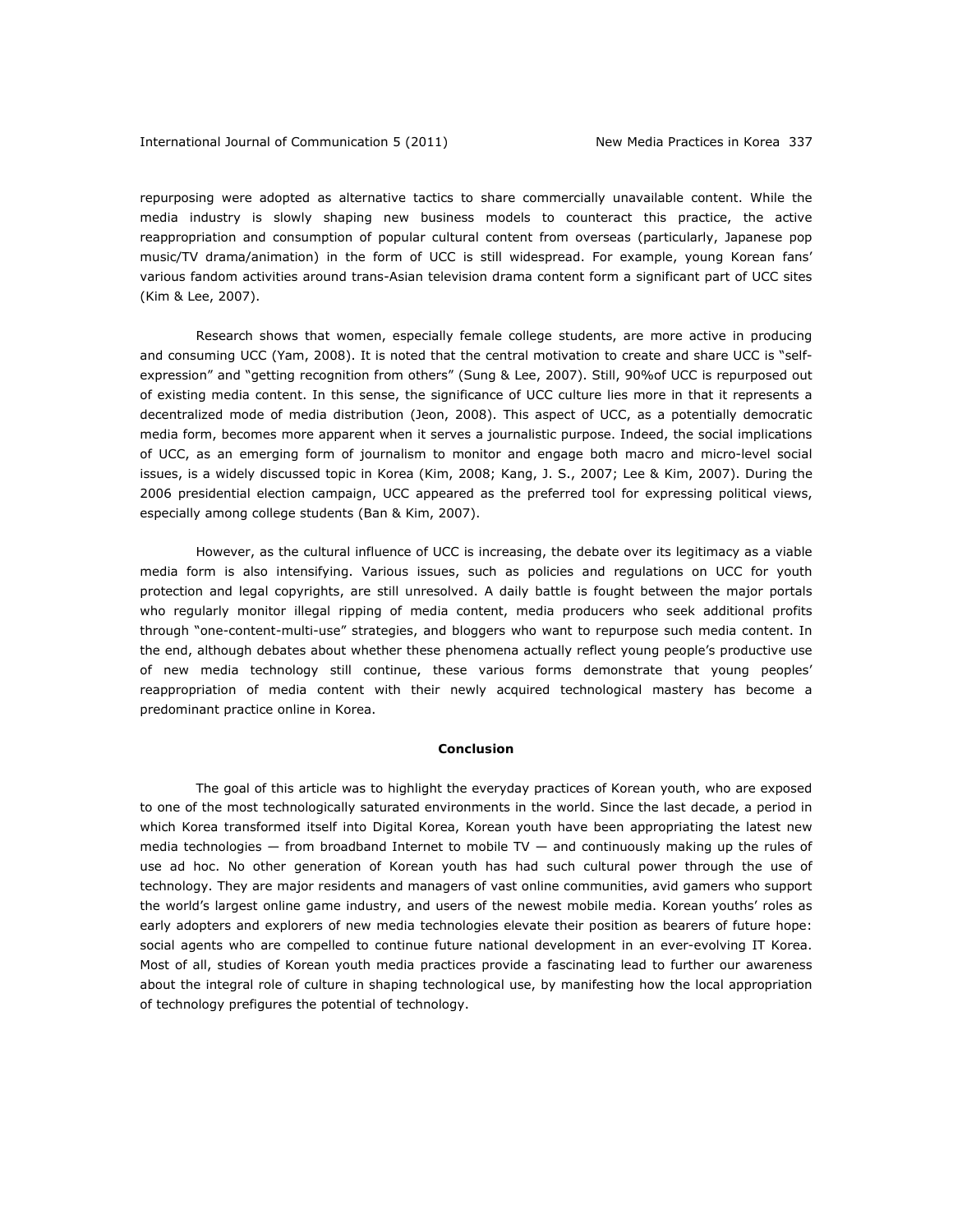### International Journal of Communication 5 (2011) New Media Practices in Korea 337

repurposing were adopted as alternative tactics to share commercially unavailable content. While the media industry is slowly shaping new business models to counteract this practice, the active reappropriation and consumption of popular cultural content from overseas (particularly, Japanese pop music/TV drama/animation) in the form of UCC is still widespread. For example, young Korean fans' various fandom activities around trans-Asian television drama content form a significant part of UCC sites (Kim & Lee, 2007).

Research shows that women, especially female college students, are more active in producing and consuming UCC (Yam, 2008). It is noted that the central motivation to create and share UCC is "selfexpression" and "getting recognition from others" (Sung & Lee, 2007). Still, 90%of UCC is repurposed out of existing media content. In this sense, the significance of UCC culture lies more in that it represents a decentralized mode of media distribution (Jeon, 2008). This aspect of UCC, as a potentially democratic media form, becomes more apparent when it serves a journalistic purpose. Indeed, the social implications of UCC, as an emerging form of journalism to monitor and engage both macro and micro-level social issues, is a widely discussed topic in Korea (Kim, 2008; Kang, J. S., 2007; Lee & Kim, 2007). During the 2006 presidential election campaign, UCC appeared as the preferred tool for expressing political views, especially among college students (Ban & Kim, 2007).

However, as the cultural influence of UCC is increasing, the debate over its legitimacy as a viable media form is also intensifying. Various issues, such as policies and regulations on UCC for youth protection and legal copyrights, are still unresolved. A daily battle is fought between the major portals who regularly monitor illegal ripping of media content, media producers who seek additional profits through "one-content-multi-use" strategies, and bloggers who want to repurpose such media content. In the end, although debates about whether these phenomena actually reflect young people's productive use of new media technology still continue, these various forms demonstrate that young peoples' reappropriation of media content with their newly acquired technological mastery has become a predominant practice online in Korea.

#### **Conclusion**

The goal of this article was to highlight the everyday practices of Korean youth, who are exposed to one of the most technologically saturated environments in the world. Since the last decade, a period in which Korea transformed itself into Digital Korea, Korean youth have been appropriating the latest new media technologies — from broadband Internet to mobile TV — and continuously making up the rules of use ad hoc. No other generation of Korean youth has had such cultural power through the use of technology. They are major residents and managers of vast online communities, avid gamers who support the world's largest online game industry, and users of the newest mobile media. Korean youths' roles as early adopters and explorers of new media technologies elevate their position as bearers of future hope: social agents who are compelled to continue future national development in an ever-evolving IT Korea. Most of all, studies of Korean youth media practices provide a fascinating lead to further our awareness about the integral role of culture in shaping technological use, by manifesting how the local appropriation of technology prefigures the potential of technology.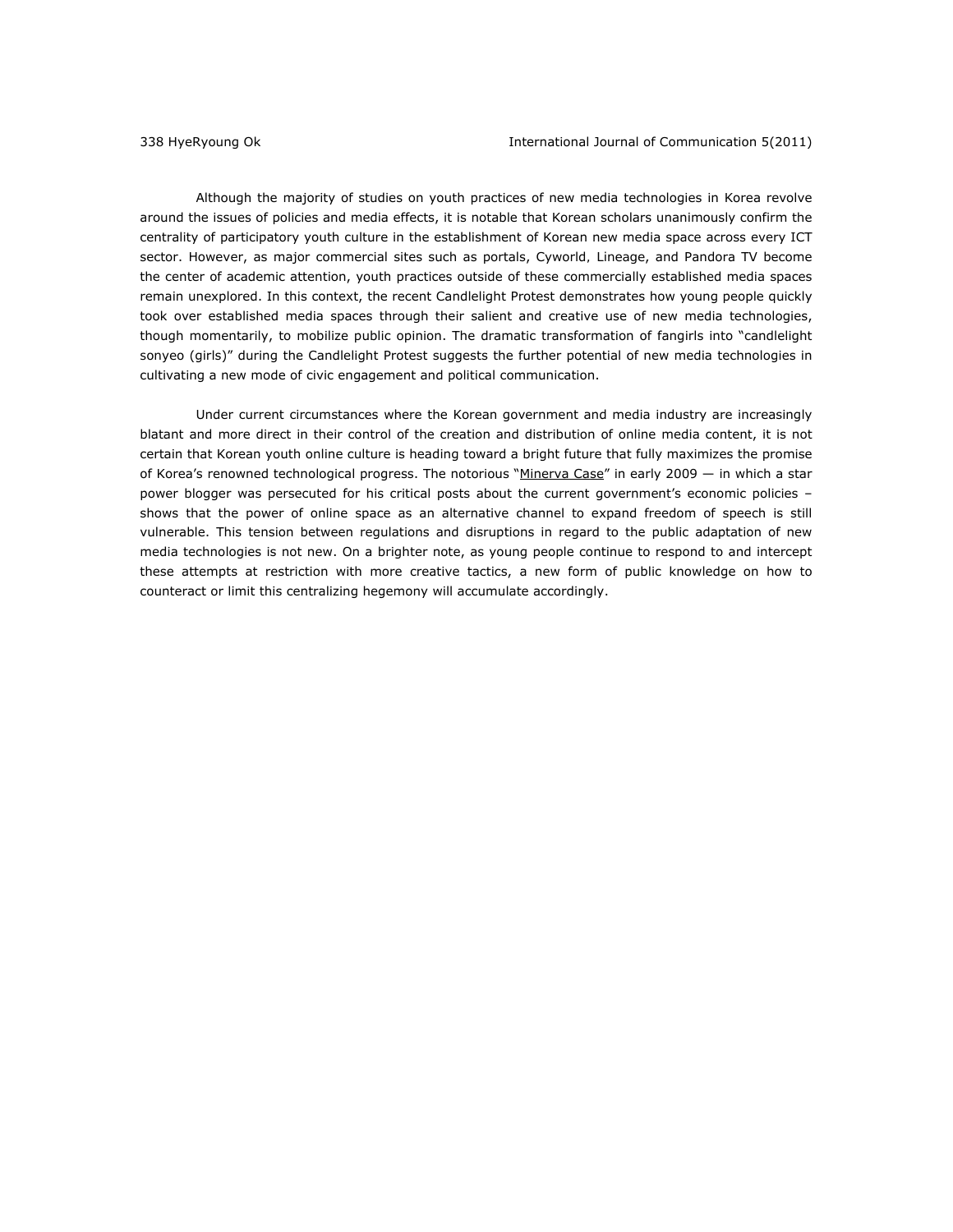Although the majority of studies on youth practices of new media technologies in Korea revolve around the issues of policies and media effects, it is notable that Korean scholars unanimously confirm the centrality of participatory youth culture in the establishment of Korean new media space across every ICT sector. However, as major commercial sites such as portals, Cyworld*, Lineage*, and Pandora TV become the center of academic attention, youth practices outside of these commercially established media spaces remain unexplored. In this context, the recent Candlelight Protest demonstrates how young people quickly took over established media spaces through their salient and creative use of new media technologies, though momentarily, to mobilize public opinion. The dramatic transformation of fangirls into "candlelight *sonyeo* (girls)" during the Candlelight Protest suggests the further potential of new media technologies in cultivating a new mode of civic engagement and political communication.

Under current circumstances where the Korean government and media industry are increasingly blatant and more direct in their control of the creation and distribution of online media content, it is not certain that Korean youth online culture is heading toward a bright future that fully maximizes the promise of Korea's renowned technological progress. The notoriou[s "Minerva Case" i](http://www.wired.com/magazine/2009/10/mf_minerva/all/1)n early 2009 — in which a star power blogger was persecuted for his critical posts about the current government's economic policies – shows that the power of online space as an alternative channel to expand freedom of speech is still vulnerable. This tension between regulations and disruptions in regard to the public adaptation of new media technologies is not new. On a brighter note, as young people continue to respond to and intercept these attempts at restriction with more creative tactics, a new form of public knowledge on how to counteract or limit this centralizing hegemony will accumulate accordingly.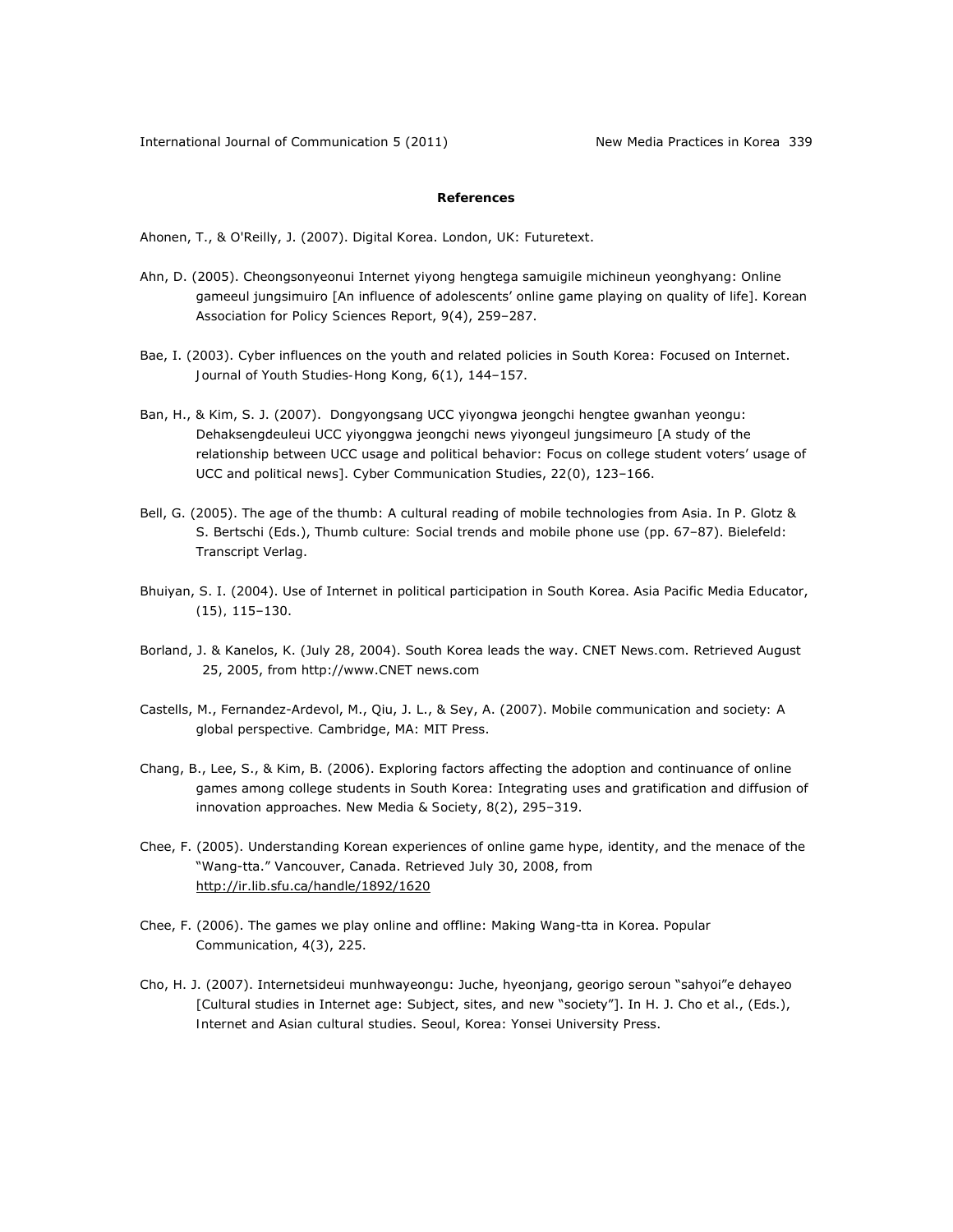### **References**

Ahonen, T., & O'Reilly, J. (2007). *Digital Korea*. London, UK: Futuretext.

- Ahn, D. (2005). Cheongsonyeonui Internet yiyong hengtega samuigile michineun yeonghyang: Online gameeul jungsimuiro [An influence of adolescents' online game playing on quality of life]. *Korean Association for Policy Sciences Report*, *9*(4), 259–287.
- Bae, I. (2003). Cyber influences on the youth and related policies in South Korea: Focused on Internet. *Journal of Youth Studies-Hong Kong*, *6*(1), 144–157.
- Ban, H., & Kim, S. J. (2007). Dongyongsang UCC yiyongwa jeongchi hengtee gwanhan yeongu: Dehaksengdeuleui UCC yiyonggwa jeongchi news yiyongeul jungsimeuro [A study of the relationship between UCC usage and political behavior: Focus on college student voters' usage of UCC and political news]. *Cyber Communication Studies*, *22*(0), 123–166.
- Bell, G. (2005). The age of the thumb: A cultural reading of mobile technologies from Asia. In P. Glotz & S. Bertschi (Eds.), *Thumb culture: Social trends and mobile phone use* (pp. 67–87). Bielefeld: Transcript Verlag.
- Bhuiyan, S. I. (2004). Use of Internet in political participation in South Korea. *Asia Pacific Media Educator*, *(15),* 115–130.
- Borland, J. & Kanelos, K. (July 28, 2004). South Korea leads the way. *CNET News.com*. Retrieved August 25, 2005, from http://www.CNET news.com
- Castells, M., Fernandez-Ardevol, M., Qiu, J. L., & Sey, A. (2007). *Mobile communication and society: A global perspective.* Cambridge, MA: MIT Press.
- Chang, B., Lee, S., & Kim, B. (2006). Exploring factors affecting the adoption and continuance of online games among college students in South Korea: Integrating uses and gratification and diffusion of innovation approaches. *New Media & Society*, *8*(2), 295–319.
- Chee, F. (2005). Understanding Korean experiences of online game hype, identity, and the menace of the "Wang-tta." Vancouver, Canada. Retrieved July 30, 2008, from http://ir.lib.sfu.ca/handle/1892/1620
- Chee, F. (2006). The games we play online and offline: Making Wang-tta in Korea. *Popular Communication*, *4*(3), 225.
- Cho, H. J. (2007). Internetsideui munhwayeongu: Juche, hyeonjang, georigo seroun "sahyoi"e dehayeo [Cultural studies in Internet age: Subject, sites, and new "society"]. In H. J. Cho et al., (Eds.), *Internet and Asian cultural studies*. Seoul, Korea: Yonsei University Press.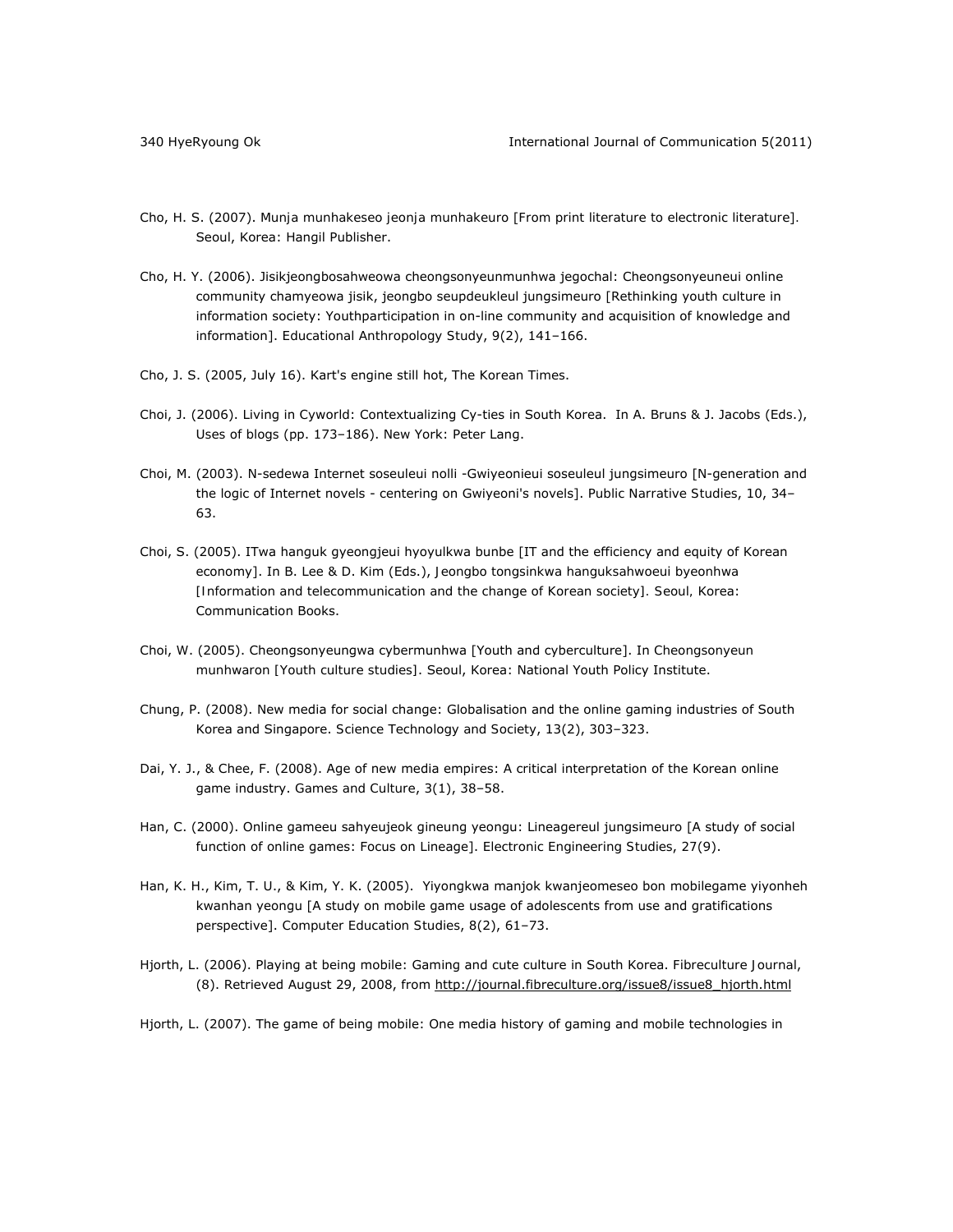- Cho, H. S. (2007). *Munja munhakeseo jeonja munhakeuro* [*From print literature to electronic literature*]*.* Seoul, Korea: Hangil Publisher.
- Cho, H. Y. (2006). Jisikjeongbosahweowa cheongsonyeunmunhwa jegochal: Cheongsonyeuneui online community chamyeowa jisik, jeongbo seupdeukleul jungsimeuro [Rethinking youth culture in information society: Youthparticipation in on-line community and acquisition of knowledge and information]. *Educational Anthropology Study*, *9*(2), 141–166.
- Cho, J. S. (2005, July 16). Kart's engine still hot, *The Korean Times*.
- Choi, J. (2006). Living in *Cyworld*: Contextualizing Cy-ties in South Korea. In A. Bruns & J. Jacobs (Eds.), *Uses of blogs* (pp. 173–186). New York: Peter Lang.
- Choi, M. (2003). N-sedewa Internet soseuleui nolli -Gwiyeonieui soseuleul jungsimeuro [N-generation and the logic of Internet novels - centering on Gwiyeoni's novels]. *Public Narrative Studies*, *10*, 34– 63.
- Choi, S. (2005). ITwa hanguk gyeongjeui hyoyulkwa bunbe [IT and the efficiency and equity of Korean economy]. In B. Lee & D. Kim (Eds.), *Jeongbo tongsinkwa hanguksahwoeui byeonhwa [Information and telecommunication and the change of Korean society]. Seoul,* Korea: Communication Books.
- Choi, W. (2005). Cheongsonyeungwa cybermunhwa [Youth and cyberculture]. In *Cheongsonyeun munhwaron [Youth culture studies]*. Seoul, Korea: National Youth Policy Institute.
- Chung, P. (2008). New media for social change: Globalisation and the online gaming industries of South Korea and Singapore. *Science Technology and Society*, *13*(2), 303–323.
- Dai, Y. J., & Chee, F. (2008). Age of new media empires: A critical interpretation of the Korean online game industry. *Games and Culture*, *3*(1), 38–58.
- Han, C. (2000). Online gameeu sahyeujeok gineung yeongu: Lineagereul jungsimeuro [A study of social function of online games: Focus on Lineage]. *Electronic Engineering Studies*, *27*(9).
- Han, K. H., Kim, T. U., & Kim, Y. K. (2005). Yiyongkwa manjok kwanjeomeseo bon mobilegame yiyonheh kwanhan yeongu [A study on mobile game usage of adolescents from use and gratifications perspective]. *Computer Education Studies*, *8*(2), 61–73.
- Hjorth, L. (2006). Playing at being mobile: Gaming and cute culture in South Korea. *Fibreculture Journal*, (8). Retrieved August 29, 2008, from http://journal.fibreculture.org/issue8/issue8\_hjorth.html
- Hjorth, L. (2007). The game of being mobile: One media history of gaming and mobile technologies in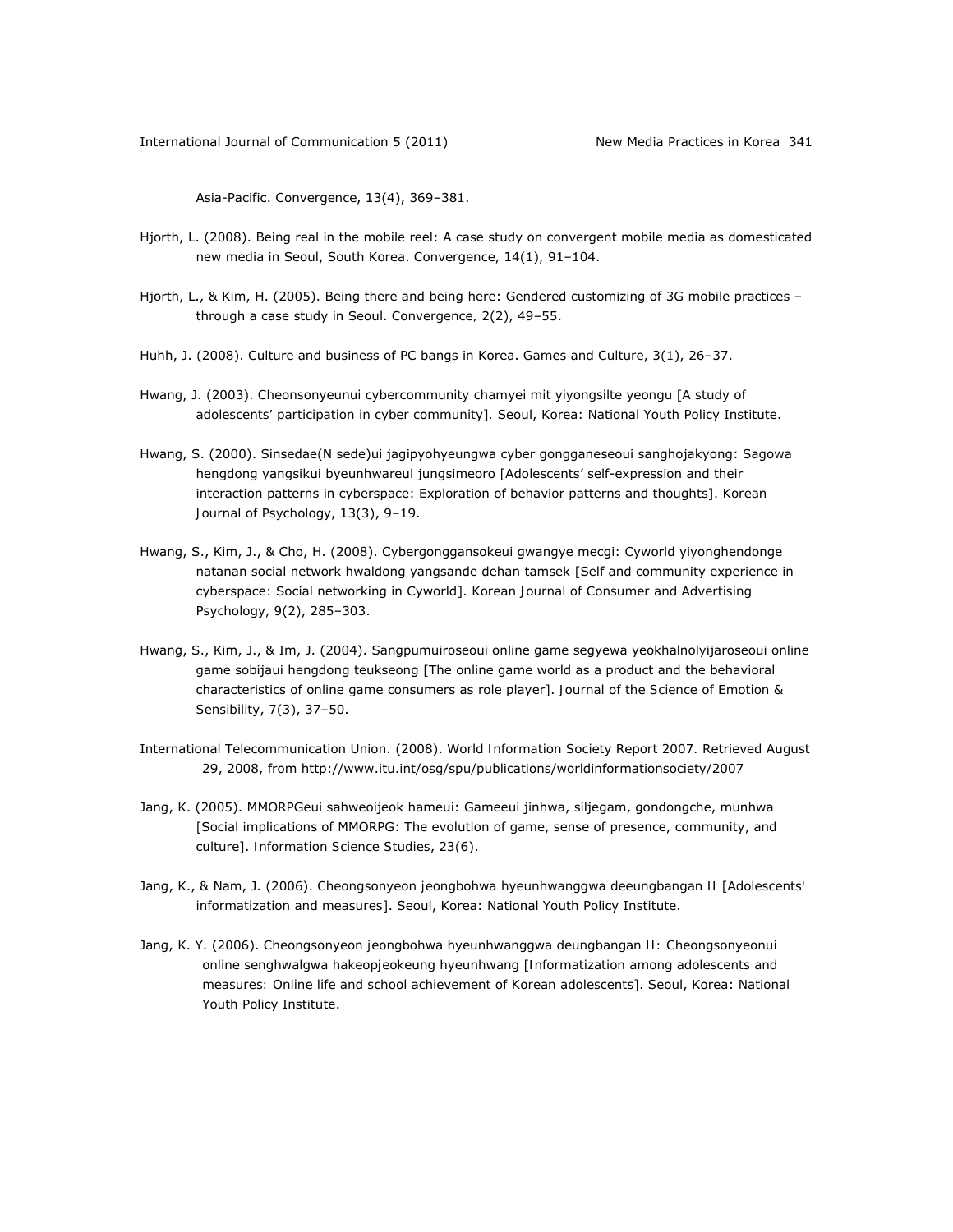Asia-Pacific. *Convergence*, *13*(4), 369–381.

- Hjorth, L. (2008). Being real in the mobile reel: A case study on convergent mobile media as domesticated new media in Seoul, South Korea. *Convergence*, *14*(1), 91–104.
- Hjorth, L., & Kim, H. (2005). Being there and being here: Gendered customizing of 3G mobile practices through a case study in Seoul. *Convergence, 2*(2), 49–55.
- Huhh, J. (2008). Culture and business of PC bangs in Korea. *Games and Culture*, *3*(1), 26–37.
- Hwang, J. (2003). *Cheonsonyeunui cybercommunity chamyei mit yiyongsilte yeongu* [*A study of adolescents' participation in cyber community*]*.* Seoul, Korea: National Youth Policy Institute.
- Hwang, S. (2000). Sinsedae(N sede)ui jagipyohyeungwa cyber gongganeseoui sanghojakyong: Sagowa hengdong yangsikui byeunhwareul jungsimeoro [Adolescents' self-expression and their interaction patterns in cyberspace: Exploration of behavior patterns and thoughts]. *Korean Journal of Psychology*, *13*(3), 9–19.
- Hwang, S., Kim, J., & Cho, H. (2008). Cybergonggansokeui gwangye mecgi: Cyworld yiyonghendonge natanan social network hwaldong yangsande dehan tamsek [Self and community experience in cyberspace: Social networking in Cyworld]. *Korean Journal of Consumer and Advertising Psychology*, *9*(2), 285–303.
- Hwang, S., Kim, J., & Im, J. (2004). Sangpumuiroseoui online game segyewa yeokhalnolyijaroseoui online game sobijaui hengdong teukseong [The online game world as a product and the behavioral characteristics of online game consumers as role player]. *Journal of the Science of Emotion & Sensibility*, *7*(3), 37–50.
- International Telecommunication Union. (2008). *World Information Society Report 2007.* Retrieved August 29, 2008, from http://www.itu.int/osg/spu/publications/worldinformationsociety/2007
- Jang, K. (2005). MMORPGeui sahweoijeok hameui: Gameeui jinhwa, siljegam, gondongche, munhwa [Social implications of MMORPG: The evolution of game, sense of presence, community, and culture]. *Information Science Studies*, *23*(6).
- Jang, K., & Nam, J. (2006). *Cheongsonyeon jeongbohwa hyeunhwanggwa deeungbangan II* [*Adolescents' informatization and measures*]. Seoul, Korea: National Youth Policy Institute.
- Jang, K. Y. (2006). *Cheongsonyeon jeongbohwa hyeunhwanggwa deungbangan II: Cheongsonyeonui online senghwalgwa hakeopjeokeung hyeunhwang* [*Informatization among adolescents and measures: Online life and school achievement of Korean adolescents*]. Seoul, Korea: National Youth Policy Institute.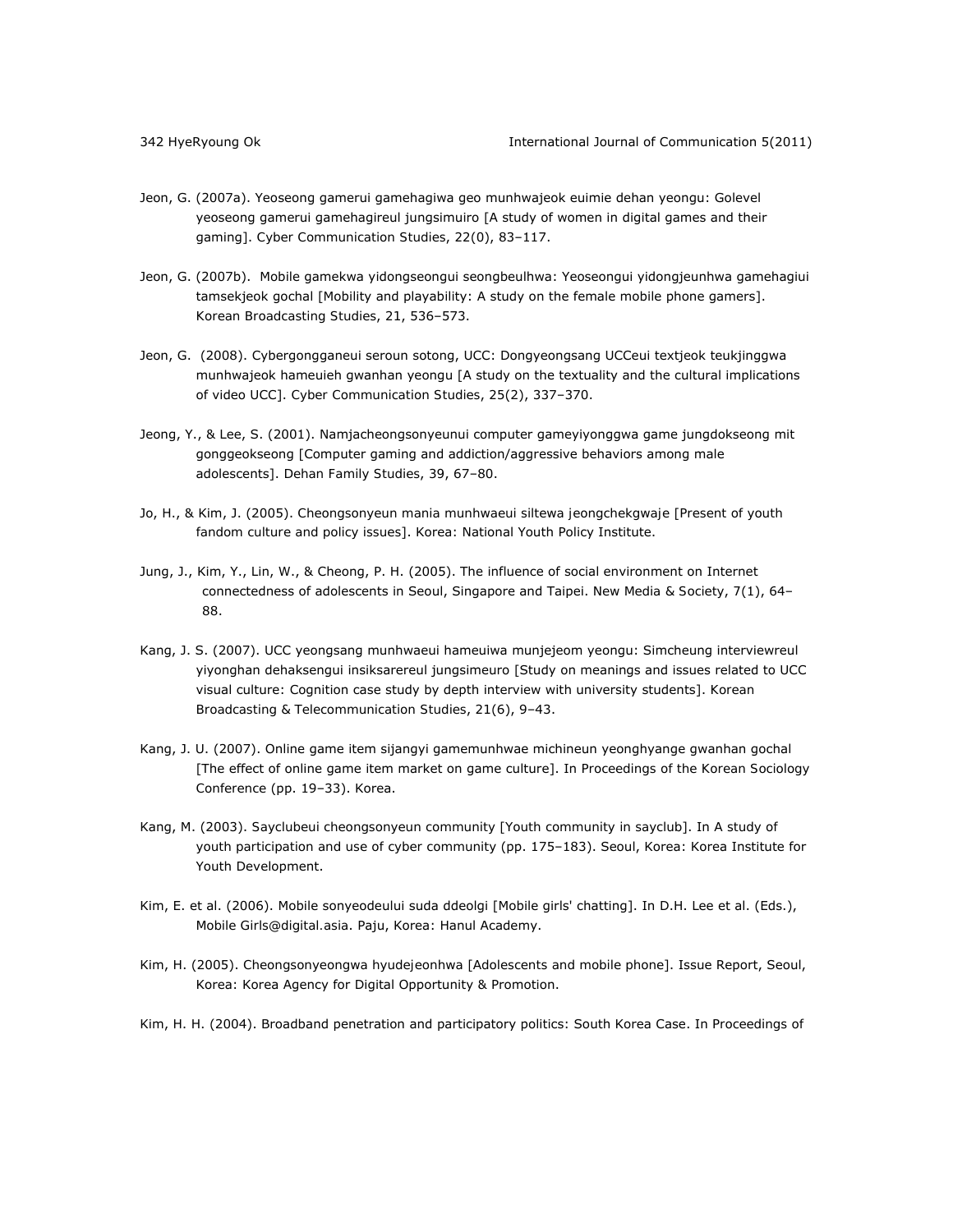- Jeon, G. (2007a). Yeoseong gamerui gamehagiwa geo munhwajeok euimie dehan yeongu: Golevel yeoseong gamerui gamehagireul jungsimuiro [A study of women in digital games and their gaming]. *Cyber Communication Studies*, *22*(0), 83–117.
- Jeon, G. (2007b). Mobile gamekwa yidongseongui seongbeulhwa: Yeoseongui yidongjeunhwa gamehagiui tamsekjeok gochal [Mobility and playability: A study on the female mobile phone gamers]. *Korean Broadcasting Studies*, *21*, 536–573.
- Jeon, G. (2008). Cybergongganeui seroun sotong, UCC: Dongyeongsang UCCeui textjeok teukjinggwa munhwajeok hameuieh gwanhan yeongu [A study on the textuality and the cultural implications of video UCC]. *Cyber Communication Studies*, *25*(2), 337–370.
- Jeong, Y., & Lee, S. (2001). Namjacheongsonyeunui computer gameyiyonggwa game jungdokseong mit gonggeokseong [Computer gaming and addiction/aggressive behaviors among male adolescents]. *Dehan Family Studies*, *39*, 67–80.
- Jo, H., & Kim, J. (2005). *Cheongsonyeun mania munhwaeui siltewa jeongchekgwaje* [*Present of youth fandom culture and policy issues*]. Korea: National Youth Policy Institute.
- Jung, J., Kim, Y., Lin, W., & Cheong, P. H. (2005). The influence of social environment on Internet connectedness of adolescents in Seoul, Singapore and Taipei. *New Media & Society*, *7*(1), 64– 88.
- Kang, J. S. (2007). UCC yeongsang munhwaeui hameuiwa munjejeom yeongu: Simcheung interviewreul yiyonghan dehaksengui insiksarereul jungsimeuro [Study on meanings and issues related to UCC visual culture: Cognition case study by depth interview with university students]. *Korean Broadcasting & Telecommunication Studies*, *21*(6), 9–43.
- Kang, J. U. (2007). Online game item sijangyi gamemunhwae michineun yeonghyange gwanhan gochal [The effect of online game item market on game culture]. In *Proceedings of the Korean Sociology Conference* (pp. 19–33). Korea.
- Kang, M. (2003). *Sayclubeui cheongsonyeun community* [*Youth community in sayclub*]. In *A study of youth participation and use of cyber community* (pp. 175–183). Seoul, Korea: Korea Institute for Youth Development.
- Kim, E. et al. (2006). Mobile sonyeodeului suda ddeolgi [Mobile girls' chatting]. In D.H. Lee et al. (Eds.), *Mobile Girls@digital.asia*. Paju, Korea: Hanul Academy.
- Kim, H. (2005). *Cheongsonyeongwa hyudejeonhwa* [*Adolescents and mobile phone*]. Issue Report, Seoul, Korea: Korea Agency for Digital Opportunity & Promotion.
- Kim, H. H. (2004). Broadband penetration and participatory politics: South Korea Case. In *Proceedings of*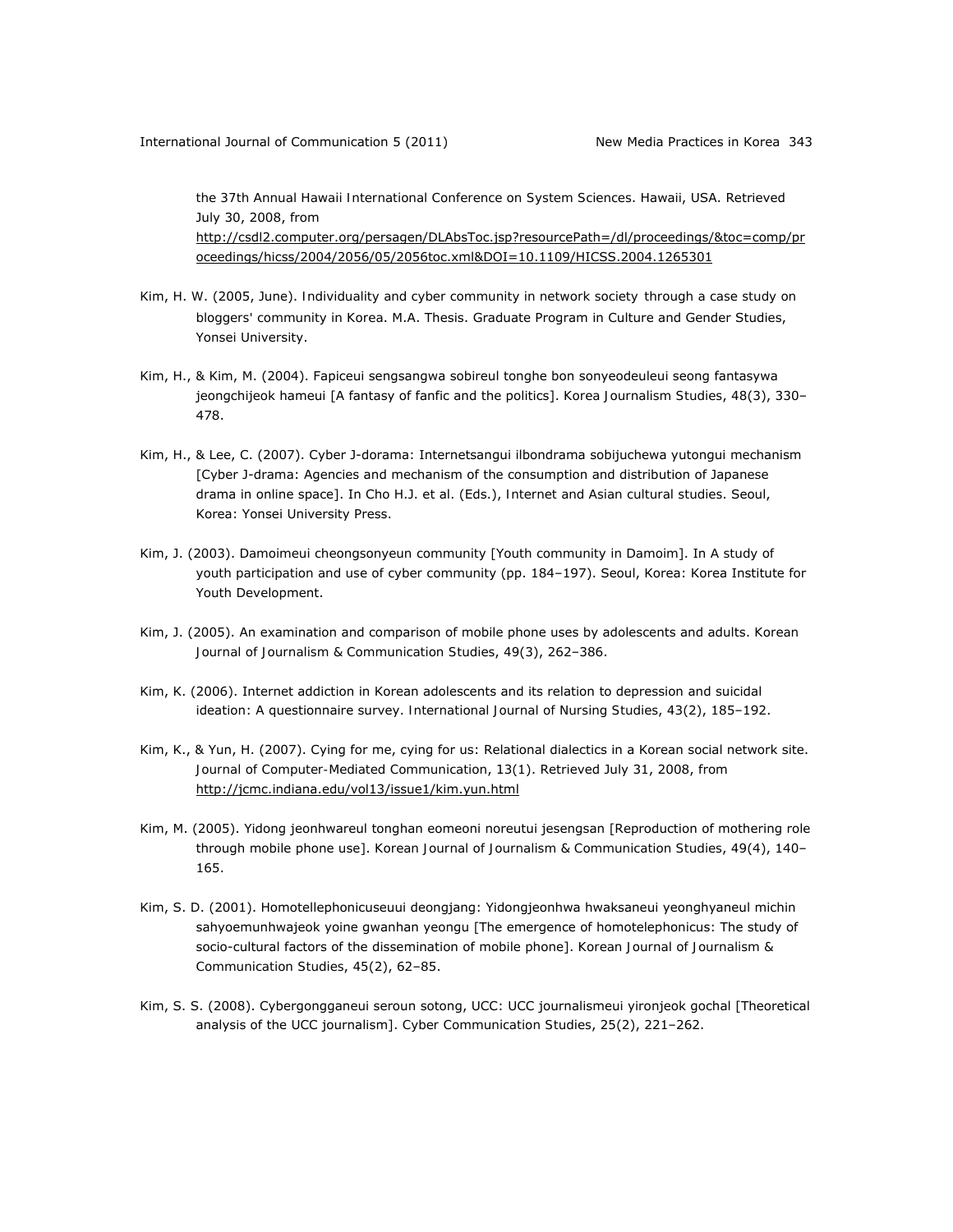*the 37th Annual Hawaii International Conference on System Sciences*. Hawaii, USA. Retrieved July 30, 2008, from

http://csdl2.computer.org/persagen/DLAbsToc.jsp?resourcePath=/dl/proceedings/&toc=comp/pr oceedings/hicss/2004/2056/05/2056toc.xml&DOI=10.1109/HICSS.2004.1265301

- Kim, H. W. (2005, June). *Individuality and cyber community in network society through a case study on bloggers' community in Korea*. M.A. Thesis. Graduate Program in Culture and Gender Studies, Yonsei University.
- Kim, H., & Kim, M. (2004). Fapiceui sengsangwa sobireul tonghe bon sonyeodeuleui seong fantasywa jeongchijeok hameui [A fantasy of fanfic and the politics]. *Korea Journalism Studies*, *48*(3), 330– 478.
- Kim, H., & Lee, C. (2007). Cyber J-dorama: Internetsangui ilbondrama sobijuchewa yutongui mechanism [Cyber J-drama: Agencies and mechanism of the consumption and distribution of Japanese drama in online space]. In Cho H.J. et al. (Eds.), *Internet and Asian cultural studies*. Seoul, Korea: Yonsei University Press.
- Kim, J. (2003). *Damoimeui cheongsonyeun community* [*Youth community in Damoim*]. In *A study of youth participation and use of cyber community* (pp. 184–197). Seoul, Korea: Korea Institute for Youth Development.
- Kim, J. (2005). An examination and comparison of mobile phone uses by adolescents and adults. *Korean Journal of Journalism & Communication Studies*, *49*(3), 262–386.
- Kim, K. (2006). Internet addiction in Korean adolescents and its relation to depression and suicidal ideation: A questionnaire survey. *International Journal of Nursing Studies*, *43*(2), 185–192.
- Kim, K., & Yun, H. (2007). Cying for me, cying for us: Relational dialectics in a Korean social network site. *Journal of Computer-Mediated Communication*, *13*(1). Retrieved July 31, 2008, from http://jcmc.indiana.edu/vol13/issue1/kim.yun.html
- Kim, M. (2005). Yidong jeonhwareul tonghan eomeoni noreutui jesengsan [Reproduction of mothering role through mobile phone use]. *Korean Journal of Journalism & Communication Studies*, *49*(4), 140– 165.
- Kim, S. D. (2001). Homotellephonicuseuui deongjang: Yidongjeonhwa hwaksaneui yeonghyaneul michin sahyoemunhwajeok yoine gwanhan yeongu [The emergence of homotelephonicus: The study of socio-cultural factors of the dissemination of mobile phone]. *Korean Journal of Journalism & Communication Studies*, *45*(2), 62–85.
- Kim, S. S. (2008). Cybergongganeui seroun sotong, UCC: UCC journalismeui yironjeok gochal [Theoretical analysis of the UCC journalism]. *Cyber Communication Studies*, *25*(2), 221–262.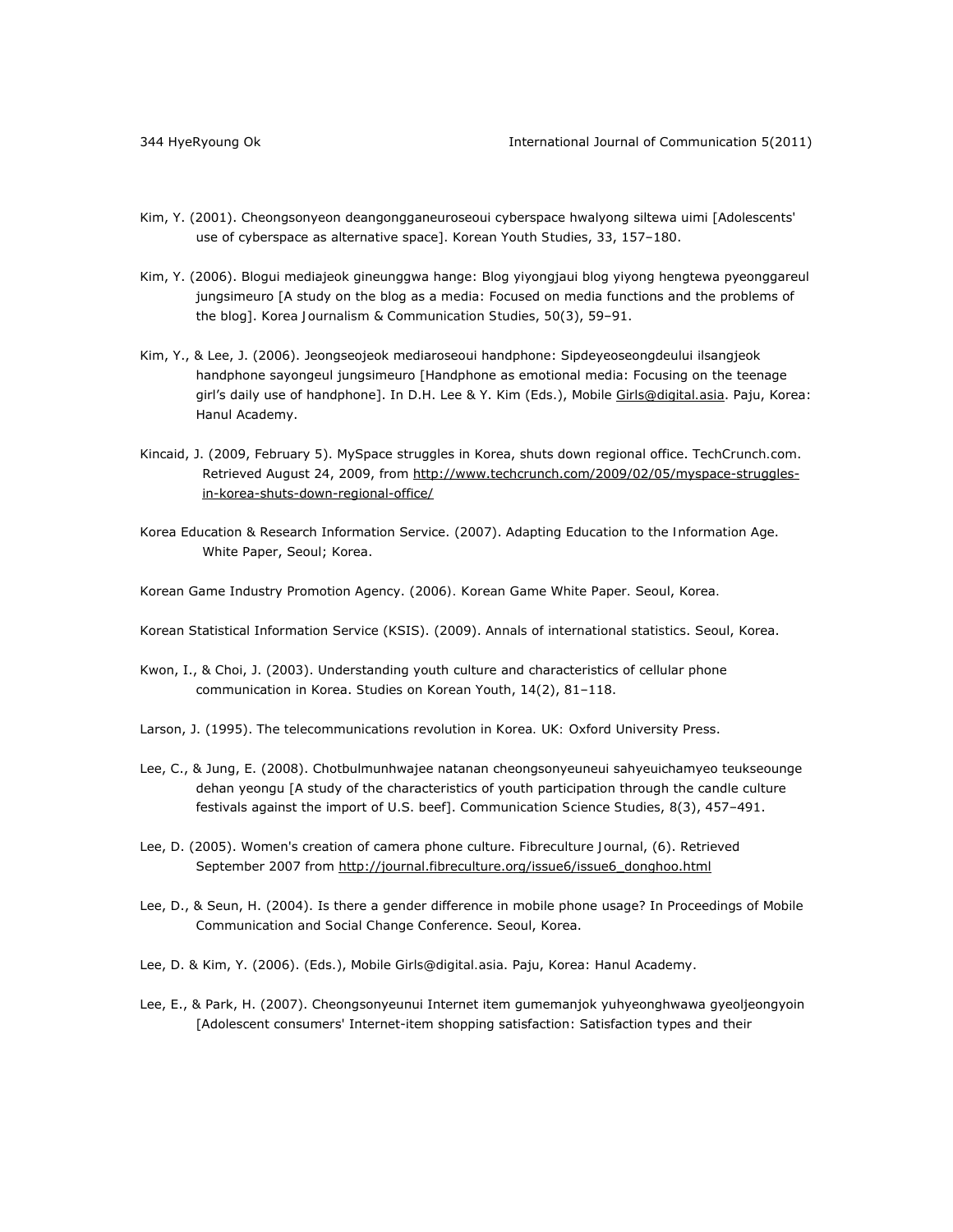- Kim, Y. (2001). Cheongsonyeon deangongganeuroseoui cyberspace hwalyong siltewa uimi [Adolescents' use of cyberspace as alternative space]. *Korean Youth Studies*, *33*, 157–180.
- Kim, Y. (2006). Blogui mediajeok gineunggwa hange: Blog yiyongjaui blog yiyong hengtewa pyeonggareul jungsimeuro [A study on the blog as a media: Focused on media functions and the problems of the blog]. *Korea Journalism & Communication Studies*, *50*(3), 59–91.
- Kim, Y., & Lee, J. (2006). Jeongseojeok mediaroseoui handphone: Sipdeyeoseongdeului ilsangjeok handphone sayongeul jungsimeuro [Handphone as emotional media: Focusing on the teenage girl's daily use of handphone]. In D.H. Lee & Y. Kim (Eds.), *Mobile Girls@digital.asia*. Paju, Korea: Hanul Academy.
- Kincaid, J. (2009, February 5). MySpace struggles in Korea, shuts down regional office. *TechCrunch.com*. Retrieved August 24, 2009, from http://www.techcrunch.com/2009/02/05/myspace-strugglesin-korea-shuts-down-regional-office/
- Korea Education & Research Information Service. (2007). *Adapting Education to the Information Age*. White Paper, Seoul; Korea.
- Korean Game Industry Promotion Agency. (2006*). Korean Game White Paper.* Seoul, Korea*.*
- Korean Statistical Information Service (KSIS). (2009). *Annals of international statistics*. Seoul, Korea.
- Kwon, I., & Choi, J. (2003). Understanding youth culture and characteristics of cellular phone communication in Korea. *Studies on Korean Youth*, *14*(2), 81–118.
- Larson, J. (1995). *The telecommunications revolution in Korea. UK:* Oxford University Press.
- Lee, C., & Jung, E. (2008). Chotbulmunhwajee natanan cheongsonyeuneui sahyeuichamyeo teukseounge dehan yeongu [A study of the characteristics of youth participation through the candle culture festivals against the import of U.S. beef]. *Communication Science Studies*, *8*(3), 457–491.
- Lee, D. (2005). Women's creation of camera phone culture. *Fibreculture Journal*, (6). Retrieved September 2007 from http://journal.fibreculture.org/issue6/issue6\_donghoo.html
- Lee, D., & Seun, H. (2004). Is there a gender difference in mobile phone usage? In *Proceedings of Mobile Communication and Social Change Conference*. Seoul, Korea.
- Lee, D. & Kim, Y. (2006). (Eds.), *Mobile Girls@digital.asia*. Paju, Korea: Hanul Academy.
- Lee, E., & Park, H. (2007). Cheongsonyeunui Internet item gumemanjok yuhyeonghwawa gyeoljeongyoin [Adolescent consumers' Internet-item shopping satisfaction: Satisfaction types and their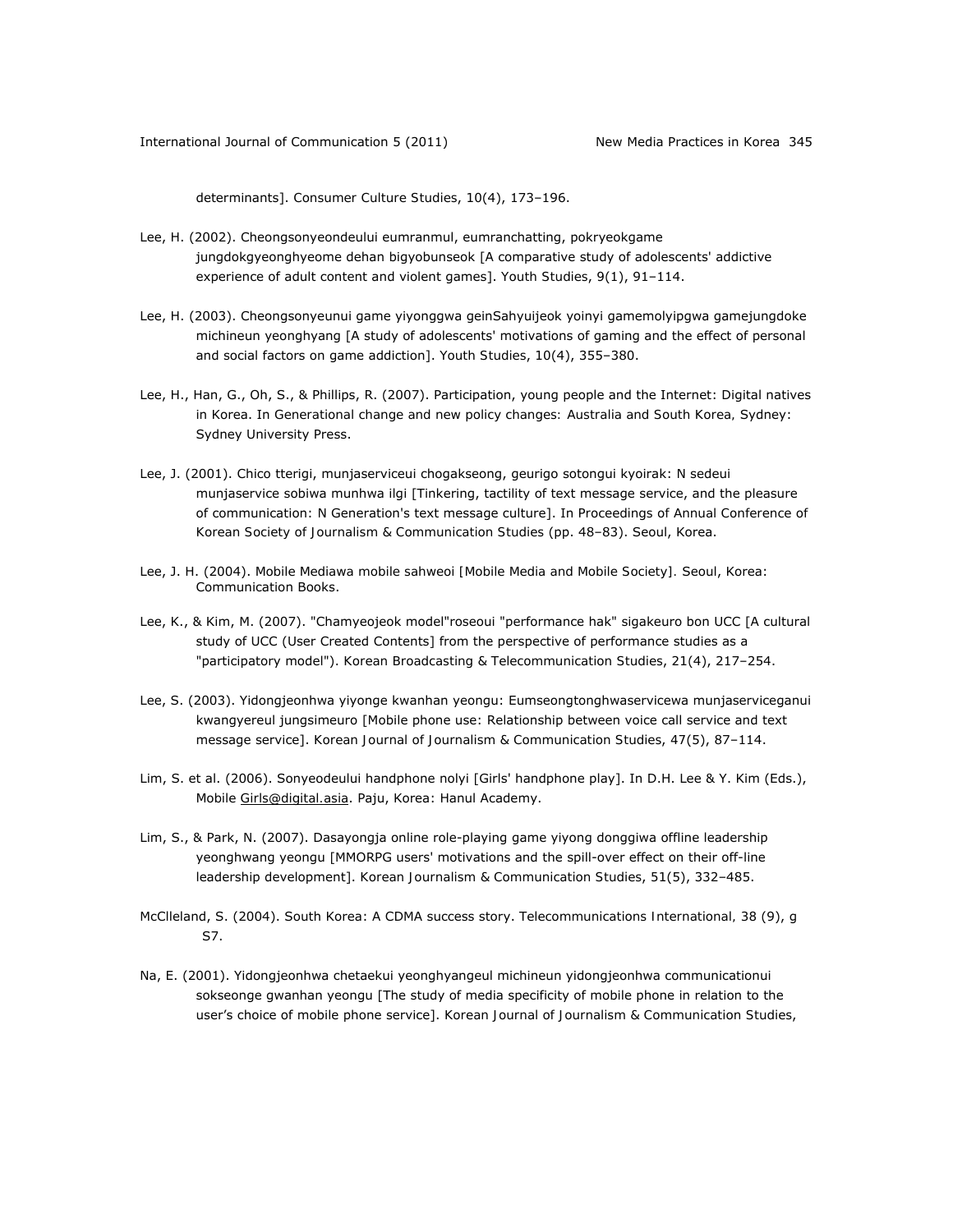determinants]. *Consumer Culture Studies*, *10*(4), 173–196.

- Lee, H. (2002). Cheongsonyeondeului eumranmul, eumranchatting, pokryeokgame jungdokgyeonghyeome dehan bigyobunseok [A comparative study of adolescents' addictive experience of adult content and violent games]. *Youth Studies*, *9*(1), 91–114.
- Lee, H. (2003). Cheongsonyeunui game yiyonggwa geinSahyuijeok yoinyi gamemolyipgwa gamejungdoke michineun yeonghyang [A study of adolescents' motivations of gaming and the effect of personal and social factors on game addiction]. *Youth Studies*, *10*(4), 355–380.
- Lee, H., Han, G., Oh, S., & Phillips, R. (2007). Participation, young people and the Internet: Digital natives in Korea. In *Generational change and new policy changes: Australia and South Korea,* Sydney: Sydney University Press.
- Lee, J. (2001). Chico tterigi, munjaserviceui chogakseong, geurigo sotongui kyoirak: N sedeui munjaservice sobiwa munhwa ilgi [Tinkering, tactility of text message service, and the pleasure of communication: N Generation's text message culture]. In *Proceedings of Annual Conference of Korean Society of Journalism & Communication Studies* (pp. 48–83). Seoul, Korea.
- Lee, J. H. (2004). *Mobile Mediawa mobile sahweoi [Mobile Media and Mobile Society].* Seoul, Korea: Communication Books.
- Lee, K., & Kim, M. (2007). "Chamyeojeok model"roseoui "performance hak" sigakeuro bon UCC [A cultural study of UCC (User Created Contents] from the perspective of performance studies as a "participatory model"). *Korean Broadcasting & Telecommunication Studies*, *21*(4), 217–254.
- Lee, S. (2003). Yidongjeonhwa yiyonge kwanhan yeongu: Eumseongtonghwaservicewa munjaserviceganui kwangyereul jungsimeuro [Mobile phone use: Relationship between voice call service and text message service]. *Korean Journal of Journalism & Communication Studies*, *47*(5), 87–114.
- Lim, S. et al. (2006). Sonyeodeului handphone nolyi [Girls' handphone play]. In D.H. Lee & Y. Kim (Eds.), *Mobile Girls@digital.asia*. Paju, Korea: Hanul Academy.
- Lim, S., & Park, N. (2007). Dasayongja online role-playing game yiyong donggiwa offline leadership yeonghwang yeongu [MMORPG users' motivations and the spill-over effect on their off-line leadership development]. *Korean Journalism & Communication Studies*, *51*(5), 332–485.
- McClleland, S. (2004). South Korea: A CDMA success story. *Telecommunications International, 38* (9), g S7.
- Na, E. (2001). Yidongjeonhwa chetaekui yeonghyangeul michineun yidongjeonhwa communicationui sokseonge gwanhan yeongu [The study of media specificity of mobile phone in relation to the user's choice of mobile phone service]. *Korean Journal of Journalism & Communication Studies*,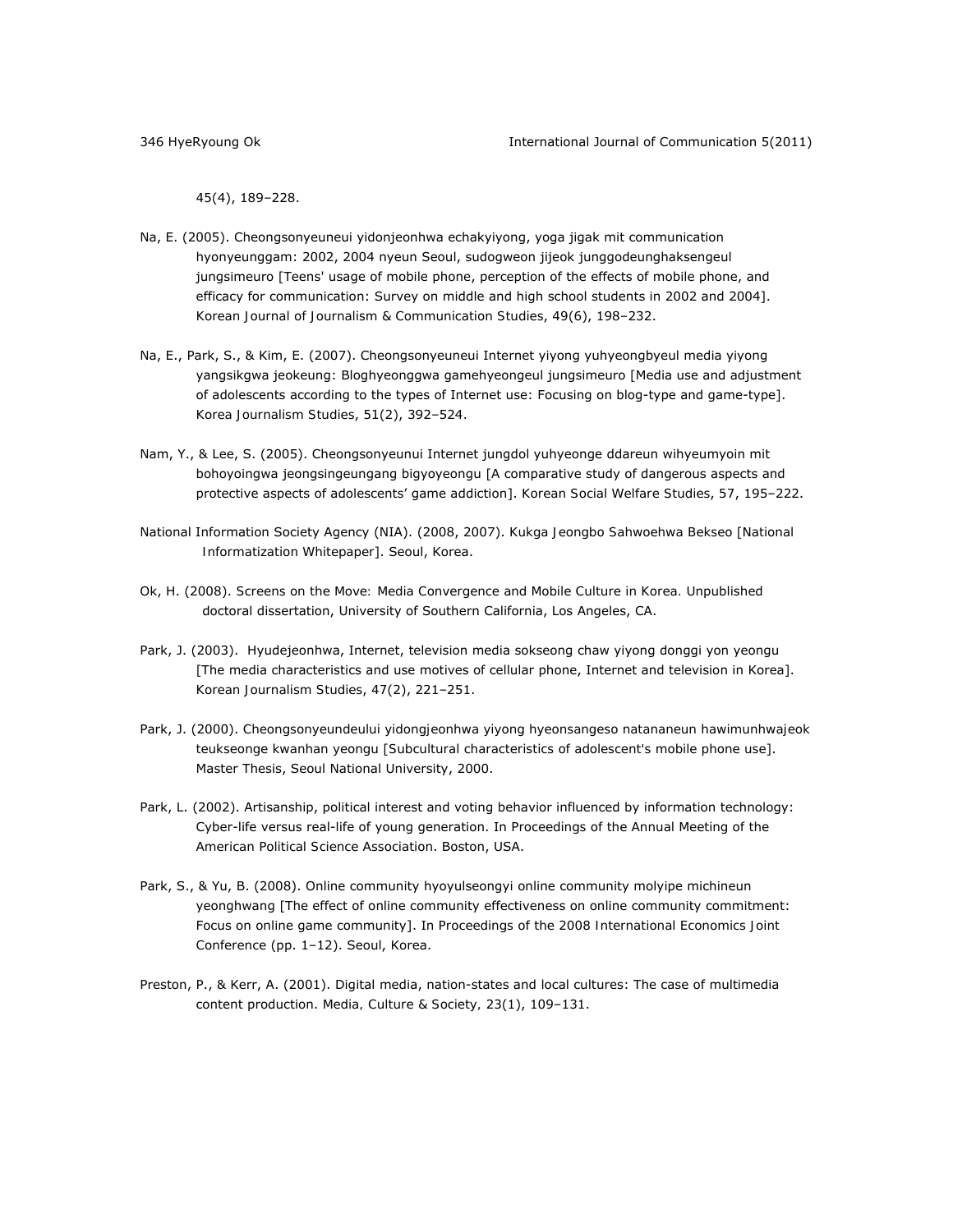*45*(4), 189–228.

- Na, E. (2005). Cheongsonyeuneui yidonjeonhwa echakyiyong, yoga jigak mit communication hyonyeunggam: 2002, 2004 nyeun Seoul, sudogweon jijeok junggodeunghaksengeul jungsimeuro [Teens' usage of mobile phone, perception of the effects of mobile phone, and efficacy for communication: Survey on middle and high school students in 2002 and 2004]. *Korean Journal of Journalism & Communication Studies*, *49*(6), 198–232.
- Na, E., Park, S., & Kim, E. (2007). Cheongsonyeuneui Internet yiyong yuhyeongbyeul media yiyong yangsikgwa jeokeung: Bloghyeonggwa gamehyeongeul jungsimeuro [Media use and adjustment of adolescents according to the types of Internet use: Focusing on blog-type and game-type]. *Korea Journalism Studies*, *51*(2), 392–524.
- Nam, Y., & Lee, S. (2005). Cheongsonyeunui Internet jungdol yuhyeonge ddareun wihyeumyoin mit bohoyoingwa jeongsingeungang bigyoyeongu [A comparative study of dangerous aspects and protective aspects of adolescents' game addiction]. *Korean Social Welfare Studies*, *57*, 195–222.
- National Information Society Agency (NIA). (2008, 2007). *Kukga Jeongbo Sahwoehwa Bekseo* [*National Informatization Whitepaper*]. Seoul, Korea.
- Ok, H. (2008). *Screens on the Move: Media Convergence and Mobile Culture in Korea.* Unpublished doctoral dissertation, University of Southern California, Los Angeles, CA.
- Park, J. (2003). Hyudejeonhwa, Internet, television media sokseong chaw yiyong donggi yon yeongu [The media characteristics and use motives of cellular phone, Internet and television in Korea]. *Korean Journalism Studies*, *47*(2), 221–251.
- Park, J. (2000). *Cheongsonyeundeului yidongjeonhwa yiyong hyeonsangeso natananeun hawimunhwajeok teukseonge kwanhan yeongu* [*Subcultural characteristics of adolescent's mobile phone use*]. Master Thesis, Seoul National University, 2000.
- Park, L. (2002). Artisanship, political interest and voting behavior influenced by information technology: Cyber-life versus real-life of young generation. In *Proceedings of the Annual Meeting of the American Political Science Association*. Boston, USA.
- Park, S., & Yu, B. (2008). Online community hyoyulseongyi online community molyipe michineun yeonghwang [The effect of online community effectiveness on online community commitment: Focus on online game community]. In *Proceedings of the 2008 International Economics Joint Conference* (pp. 1–12). Seoul, Korea.
- Preston, P., & Kerr, A. (2001). Digital media, nation-states and local cultures: The case of multimedia content production. *Media, Culture & Society, 23*(1), 109–131.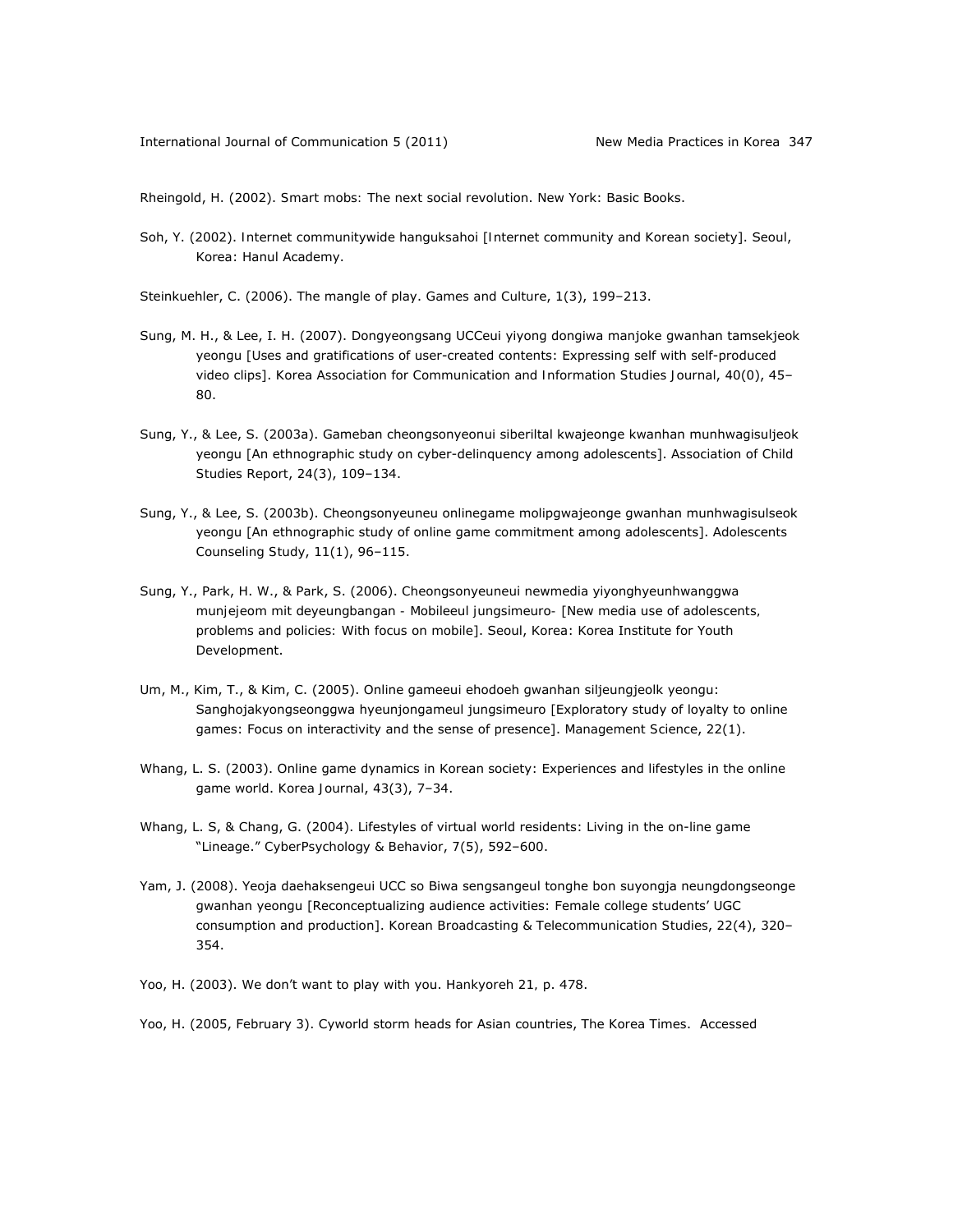Rheingold, H. (2002). *Smart mobs: The next social revolution*. New York: Basic Books.

Soh, Y. (2002). *Internet communitywide hanguksahoi* [*Internet community and Korean society*]. Seoul, Korea: Hanul Academy.

Steinkuehler, C. (2006). The mangle of play. *Games and Culture*, *1*(3), 199–213.

- Sung, M. H., & Lee, I. H. (2007). Dongyeongsang UCCeui yiyong dongiwa manjoke gwanhan tamsekjeok yeongu [Uses and gratifications of user-created contents: Expressing self with self-produced video clips]. *Korea Association for Communication and Information Studies Journal*, *40*(0), 45– 80.
- Sung, Y., & Lee, S. (2003a). Gameban cheongsonyeonui siberiltal kwajeonge kwanhan munhwagisuljeok yeongu [An ethnographic study on cyber-delinquency among adolescents]. *Association of Child Studies Report*, *24*(3), 109–134.
- Sung, Y., & Lee, S. (2003b). Cheongsonyeuneu onlinegame molipgwajeonge gwanhan munhwagisulseok yeongu [An ethnographic study of online game commitment among adolescents]. *Adolescents Counseling Study*, *11*(1), 96–115.
- Sung, Y., Park, H. W., & Park, S. (2006). *Cheongsonyeuneui newmedia yiyonghyeunhwanggwa munjejeom mit deyeungbangan - Mobileeul jungsimeuro-* [*New media use of adolescents, problems and policies: With focus on mobile*]. Seoul, Korea: Korea Institute for Youth Development.
- Um, M., Kim, T., & Kim, C. (2005). Online gameeui ehodoeh gwanhan siljeungjeolk yeongu: Sanghojakyongseonggwa hyeunjongameul jungsimeuro [Exploratory study of loyalty to online games: Focus on interactivity and the sense of presence]. *Management Science*, *22*(1).
- Whang, L. S. (2003). Online game dynamics in Korean society: Experiences and lifestyles in the online game world. *Korea Journal*, *43*(3), 7–34.
- Whang, L. S, & Chang, G. (2004). Lifestyles of virtual world residents: Living in the on-line game "Lineage." *CyberPsychology & Behavior*, *7*(5), 592–600.
- Yam, J. (2008). Yeoja daehaksengeui UCC so Biwa sengsangeul tonghe bon suyongja neungdongseonge gwanhan yeongu [Reconceptualizing audience activities: Female college students' UGC consumption and production]. *Korean Broadcasting & Telecommunication Studies*, *22*(4), 320– 354.
- Yoo, H. (2003). We don't want to play with you. *Hankyoreh 21,* p. 478.

Yoo, H. (2005, February 3). Cyworld storm heads for Asian countries, *The Korea Times*. Accessed